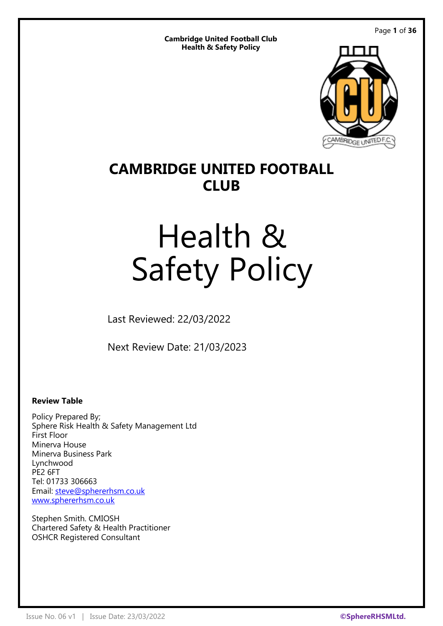Page **1** of **36**

**Cambridge United Football Club Health & Safety Policy**



# **CAMBRIDGE UNITED FOOTBALL CLUB**

# Health & Safety Policy

Last Reviewed: 22/03/2022

Next Review Date: 21/03/2023

## **Review Table**

Policy Prepared By; Sphere Risk Health & Safety Management Ltd First Floor Minerva House Minerva Business Park Lynchwood PE<sub>2</sub> 6FT Tel: 01733 306663 Email: [steve@sphererhsm.co.uk](mailto:steve@sphererhsm.co.uk) [www.sphererhsm.co.uk](http://www.sphererhsm.co.uk/)

Stephen Smith. CMIOSH Chartered Safety & Health Practitioner OSHCR Registered Consultant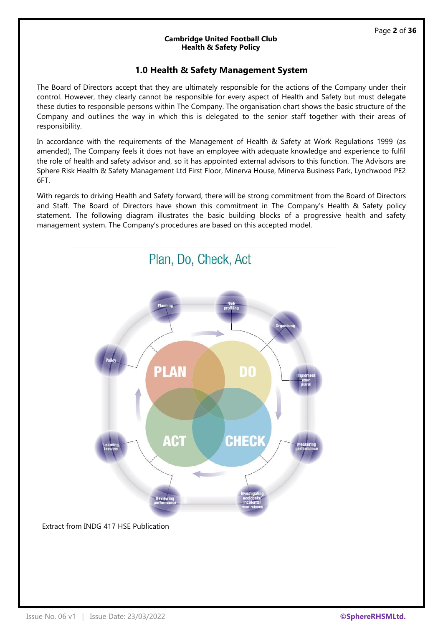## **1.0 Health & Safety Management System**

The Board of Directors accept that they are ultimately responsible for the actions of the Company under their control. However, they clearly cannot be responsible for every aspect of Health and Safety but must delegate these duties to responsible persons within The Company. The organisation chart shows the basic structure of the Company and outlines the way in which this is delegated to the senior staff together with their areas of responsibility.

In accordance with the requirements of the Management of Health & Safety at Work Regulations 1999 (as amended), The Company feels it does not have an employee with adequate knowledge and experience to fulfil the role of health and safety advisor and, so it has appointed external advisors to this function. The Advisors are Sphere Risk Health & Safety Management Ltd First Floor, Minerva House, Minerva Business Park, Lynchwood PE2 6FT.

With regards to driving Health and Safety forward, there will be strong commitment from the Board of Directors and Staff. The Board of Directors have shown this commitment in The Company's Health & Safety policy statement. The following diagram illustrates the basic building blocks of a progressive health and safety management system. The Company's procedures are based on this accepted model.

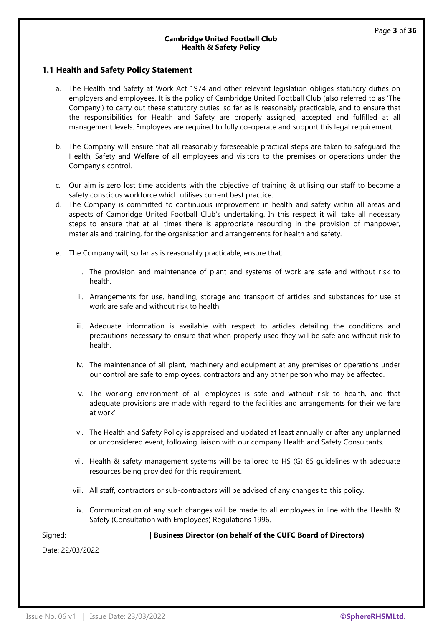#### **1.1 Health and Safety Policy Statement**

- a. The Health and Safety at Work Act 1974 and other relevant legislation obliges statutory duties on employers and employees. It is the policy of Cambridge United Football Club (also referred to as 'The Company') to carry out these statutory duties, so far as is reasonably practicable, and to ensure that the responsibilities for Health and Safety are properly assigned, accepted and fulfilled at all management levels. Employees are required to fully co-operate and support this legal requirement.
- b. The Company will ensure that all reasonably foreseeable practical steps are taken to safeguard the Health, Safety and Welfare of all employees and visitors to the premises or operations under the Company's control.
- c. Our aim is zero lost time accidents with the objective of training & utilising our staff to become a safety conscious workforce which utilises current best practice.
- d. The Company is committed to continuous improvement in health and safety within all areas and aspects of Cambridge United Football Club's undertaking. In this respect it will take all necessary steps to ensure that at all times there is appropriate resourcing in the provision of manpower, materials and training, for the organisation and arrangements for health and safety.
- e. The Company will, so far as is reasonably practicable, ensure that:
	- i. The provision and maintenance of plant and systems of work are safe and without risk to health.
	- ii. Arrangements for use, handling, storage and transport of articles and substances for use at work are safe and without risk to health.
	- iii. Adequate information is available with respect to articles detailing the conditions and precautions necessary to ensure that when properly used they will be safe and without risk to health.
	- iv. The maintenance of all plant, machinery and equipment at any premises or operations under our control are safe to employees, contractors and any other person who may be affected.
	- v. The working environment of all employees is safe and without risk to health, and that adequate provisions are made with regard to the facilities and arrangements for their welfare at work'
	- vi. The Health and Safety Policy is appraised and updated at least annually or after any unplanned or unconsidered event, following liaison with our company Health and Safety Consultants.
	- vii. Health & safety management systems will be tailored to HS (G) 65 guidelines with adequate resources being provided for this requirement.
	- viii. All staff, contractors or sub-contractors will be advised of any changes to this policy.
	- ix. Communication of any such changes will be made to all employees in line with the Health & Safety (Consultation with Employees) Regulations 1996.

Signed: **| Business Director (on behalf of the CUFC Board of Directors)**

Date: 22/03/2022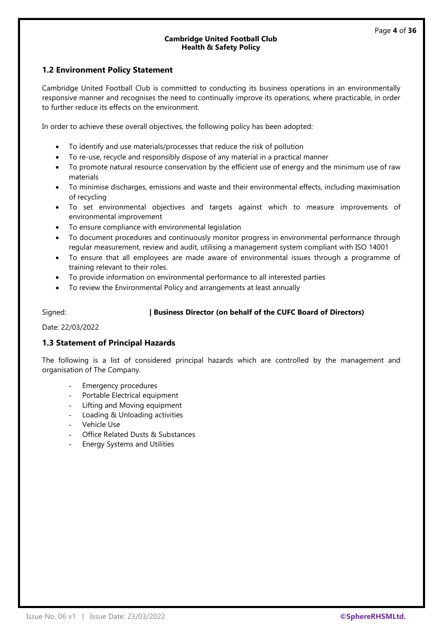#### **1.2 Environment Policy Statement**

Cambridge United Football Club is committed to conducting its business operations in an environmentally responsive manner and recognises the need to continually improve its operations, where practicable, in order to further reduce its effects on the environment.

In order to achieve these overall objectives, the following policy has been adopted:

- To identify and use materials/processes that reduce the risk of pollution
- To re-use, recycle and responsibly dispose of any material in a practical manner
- To promote natural resource conservation by the efficient use of energy and the minimum use of raw materials
- To minimise discharges, emissions and waste and their environmental effects, including maximisation of recycling
- To set environmental objectives and targets against which to measure improvements of environmental improvement
- To ensure compliance with environmental legislation
- To document procedures and continuously monitor progress in environmental performance through regular measurement, review and audit, utilising a management system compliant with ISO 14001
- To ensure that all employees are made aware of environmental issues through a programme of training relevant to their roles.
- To provide information on environmental performance to all interested parties
- To review the Environmental Policy and arrangements at least annually

#### Signed: **| Business Director (on behalf of the CUFC Board of Directors)**

Date: 22/03/2022

#### **1.3 Statement of Principal Hazards**

The following is a list of considered principal hazards which are controlled by the management and organisation of The Company.

- Emergency procedures
- Portable Electrical equipment
- Lifting and Moving equipment
- Loading & Unloading activities
- Vehicle Use
- Office Related Dusts & Substances
- **Energy Systems and Utilities**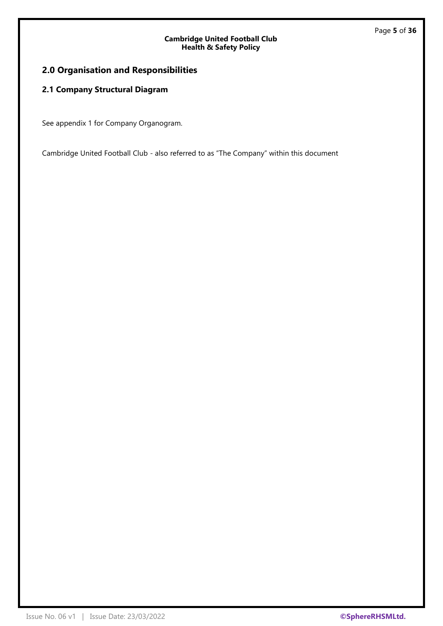## **2.0 Organisation and Responsibilities**

## **2.1 Company Structural Diagram**

See appendix 1 for Company Organogram.

Cambridge United Football Club - also referred to as "The Company" within this document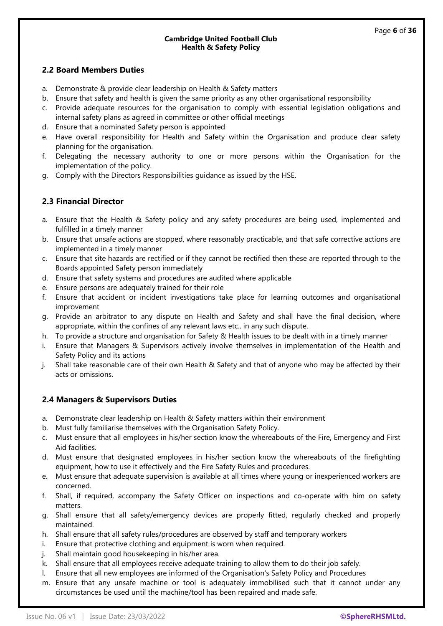## **2.2 Board Members Duties**

- a. Demonstrate & provide clear leadership on Health & Safety matters
- b. Ensure that safety and health is given the same priority as any other organisational responsibility
- Provide adequate resources for the organisation to comply with essential legislation obligations and internal safety plans as agreed in committee or other official meetings
- d. Ensure that a nominated Safety person is appointed
- e. Have overall responsibility for Health and Safety within the Organisation and produce clear safety planning for the organisation.
- f. Delegating the necessary authority to one or more persons within the Organisation for the implementation of the policy.
- g. Comply with the Directors Responsibilities guidance as issued by the HSE.

## **2.3 Financial Director**

- a. Ensure that the Health & Safety policy and any safety procedures are being used, implemented and fulfilled in a timely manner
- b. Ensure that unsafe actions are stopped, where reasonably practicable, and that safe corrective actions are implemented in a timely manner
- c. Ensure that site hazards are rectified or if they cannot be rectified then these are reported through to the Boards appointed Safety person immediately
- d. Ensure that safety systems and procedures are audited where applicable
- e. Ensure persons are adequately trained for their role
- f. Ensure that accident or incident investigations take place for learning outcomes and organisational improvement
- g. Provide an arbitrator to any dispute on Health and Safety and shall have the final decision, where appropriate, within the confines of any relevant laws etc., in any such dispute.
- h. To provide a structure and organisation for Safety & Health issues to be dealt with in a timely manner
- Ensure that Managers & Supervisors actively involve themselves in implementation of the Health and Safety Policy and its actions
- j. Shall take reasonable care of their own Health & Safety and that of anyone who may be affected by their acts or omissions.

## **2.4 Managers & Supervisors Duties**

- a. Demonstrate clear leadership on Health & Safety matters within their environment
- b. Must fully familiarise themselves with the Organisation Safety Policy.
- c. Must ensure that all employees in his/her section know the whereabouts of the Fire, Emergency and First Aid facilities.
- d. Must ensure that designated employees in his/her section know the whereabouts of the firefighting equipment, how to use it effectively and the Fire Safety Rules and procedures.
- e. Must ensure that adequate supervision is available at all times where young or inexperienced workers are concerned.
- f. Shall, if required, accompany the Safety Officer on inspections and co-operate with him on safety matters.
- g. Shall ensure that all safety/emergency devices are properly fitted, regularly checked and properly maintained.
- h. Shall ensure that all safety rules/procedures are observed by staff and temporary workers
- i. Ensure that protective clothing and equipment is worn when required.
- j. Shall maintain good housekeeping in his/her area.
- k. Shall ensure that all employees receive adequate training to allow them to do their job safely.
- l. Ensure that all new employees are informed of the Organisation's Safety Policy and Procedures
- m. Ensure that any unsafe machine or tool is adequately immobilised such that it cannot under any circumstances be used until the machine/tool has been repaired and made safe.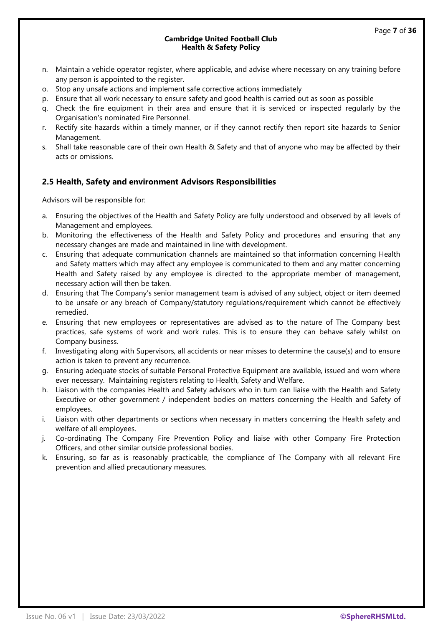- n. Maintain a vehicle operator register, where applicable, and advise where necessary on any training before any person is appointed to the register.
- o. Stop any unsafe actions and implement safe corrective actions immediately
- p. Ensure that all work necessary to ensure safety and good health is carried out as soon as possible
- q. Check the fire equipment in their area and ensure that it is serviced or inspected regularly by the Organisation's nominated Fire Personnel.
- r. Rectify site hazards within a timely manner, or if they cannot rectify then report site hazards to Senior Management.
- s. Shall take reasonable care of their own Health & Safety and that of anyone who may be affected by their acts or omissions.

## **2.5 Health, Safety and environment Advisors Responsibilities**

Advisors will be responsible for:

- a. Ensuring the objectives of the Health and Safety Policy are fully understood and observed by all levels of Management and employees.
- b. Monitoring the effectiveness of the Health and Safety Policy and procedures and ensuring that any necessary changes are made and maintained in line with development.
- c. Ensuring that adequate communication channels are maintained so that information concerning Health and Safety matters which may affect any employee is communicated to them and any matter concerning Health and Safety raised by any employee is directed to the appropriate member of management, necessary action will then be taken.
- d. Ensuring that The Company's senior management team is advised of any subject, object or item deemed to be unsafe or any breach of Company/statutory regulations/requirement which cannot be effectively remedied.
- e. Ensuring that new employees or representatives are advised as to the nature of The Company best practices, safe systems of work and work rules. This is to ensure they can behave safely whilst on Company business.
- f. Investigating along with Supervisors, all accidents or near misses to determine the cause(s) and to ensure action is taken to prevent any recurrence.
- g. Ensuring adequate stocks of suitable Personal Protective Equipment are available, issued and worn where ever necessary. Maintaining registers relating to Health, Safety and Welfare.
- h. Liaison with the companies Health and Safety advisors who in turn can liaise with the Health and Safety Executive or other government / independent bodies on matters concerning the Health and Safety of employees.
- i. Liaison with other departments or sections when necessary in matters concerning the Health safety and welfare of all employees.
- j. Co-ordinating The Company Fire Prevention Policy and liaise with other Company Fire Protection Officers, and other similar outside professional bodies.
- k. Ensuring, so far as is reasonably practicable, the compliance of The Company with all relevant Fire prevention and allied precautionary measures.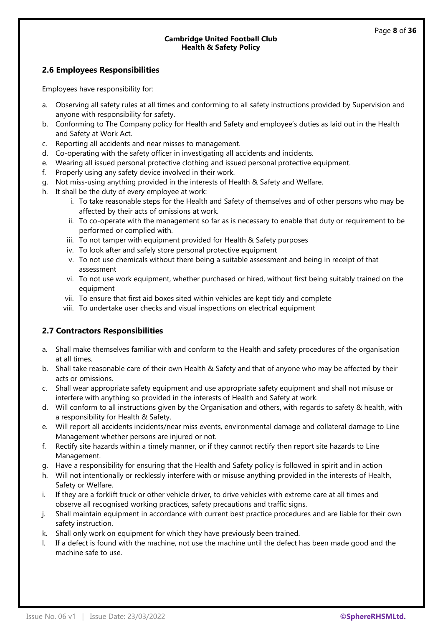## **2.6 Employees Responsibilities**

Employees have responsibility for:

- a. Observing all safety rules at all times and conforming to all safety instructions provided by Supervision and anyone with responsibility for safety.
- b. Conforming to The Company policy for Health and Safety and employee's duties as laid out in the Health and Safety at Work Act.
- c. Reporting all accidents and near misses to management.
- d. Co-operating with the safety officer in investigating all accidents and incidents.
- e. Wearing all issued personal protective clothing and issued personal protective equipment.
- f. Properly using any safety device involved in their work.
- g. Not miss-using anything provided in the interests of Health & Safety and Welfare.
- h. It shall be the duty of every employee at work:
	- i. To take reasonable steps for the Health and Safety of themselves and of other persons who may be affected by their acts of omissions at work.
	- ii. To co-operate with the management so far as is necessary to enable that duty or requirement to be performed or complied with.
	- iii. To not tamper with equipment provided for Health & Safety purposes
	- iv. To look after and safely store personal protective equipment
	- v. To not use chemicals without there being a suitable assessment and being in receipt of that assessment
	- vi. To not use work equipment, whether purchased or hired, without first being suitably trained on the equipment
	- vii. To ensure that first aid boxes sited within vehicles are kept tidy and complete
	- viii. To undertake user checks and visual inspections on electrical equipment

## **2.7 Contractors Responsibilities**

- a. Shall make themselves familiar with and conform to the Health and safety procedures of the organisation at all times.
- b. Shall take reasonable care of their own Health & Safety and that of anyone who may be affected by their acts or omissions.
- c. Shall wear appropriate safety equipment and use appropriate safety equipment and shall not misuse or interfere with anything so provided in the interests of Health and Safety at work.
- d. Will conform to all instructions given by the Organisation and others, with regards to safety & health, with a responsibility for Health & Safety.
- e. Will report all accidents incidents/near miss events, environmental damage and collateral damage to Line Management whether persons are injured or not.
- f. Rectify site hazards within a timely manner, or if they cannot rectify then report site hazards to Line Management.
- g. Have a responsibility for ensuring that the Health and Safety policy is followed in spirit and in action
- h. Will not intentionally or recklessly interfere with or misuse anything provided in the interests of Health, Safety or Welfare.
- i. If they are a forklift truck or other vehicle driver, to drive vehicles with extreme care at all times and observe all recognised working practices, safety precautions and traffic signs.
- j. Shall maintain equipment in accordance with current best practice procedures and are liable for their own safety instruction.
- k. Shall only work on equipment for which they have previously been trained.
- l. If a defect is found with the machine, not use the machine until the defect has been made good and the machine safe to use.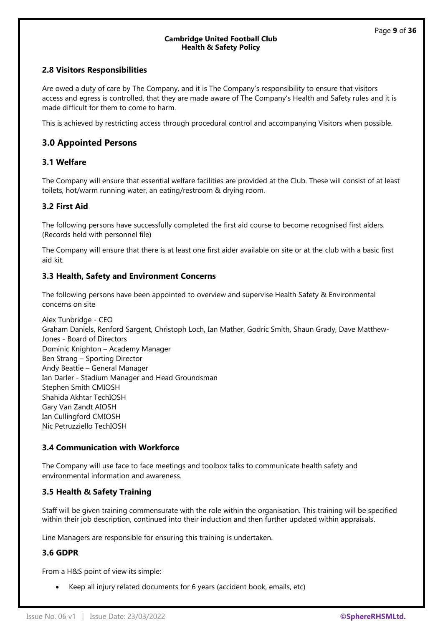## **2.8 Visitors Responsibilities**

Are owed a duty of care by The Company, and it is The Company's responsibility to ensure that visitors access and egress is controlled, that they are made aware of The Company's Health and Safety rules and it is made difficult for them to come to harm.

This is achieved by restricting access through procedural control and accompanying Visitors when possible.

## **3.0 Appointed Persons**

## **3.1 Welfare**

The Company will ensure that essential welfare facilities are provided at the Club. These will consist of at least toilets, hot/warm running water, an eating/restroom & drying room.

#### **3.2 First Aid**

The following persons have successfully completed the first aid course to become recognised first aiders. (Records held with personnel file)

The Company will ensure that there is at least one first aider available on site or at the club with a basic first aid kit.

#### **3.3 Health, Safety and Environment Concerns**

The following persons have been appointed to overview and supervise Health Safety & Environmental concerns on site

Alex Tunbridge - CEO Graham Daniels, Renford Sargent, Christoph Loch, Ian Mather, Godric Smith, Shaun Grady, Dave Matthew-Jones - Board of Directors Dominic Knighton – Academy Manager Ben Strang – Sporting Director Andy Beattie – General Manager Ian Darler - Stadium Manager and Head Groundsman Stephen Smith CMIOSH Shahida Akhtar TechIOSH Gary Van Zandt AIOSH Ian Cullingford CMIOSH Nic Petruzziello TechIOSH

#### **3.4 Communication with Workforce**

The Company will use face to face meetings and toolbox talks to communicate health safety and environmental information and awareness.

#### **3.5 Health & Safety Training**

Staff will be given training commensurate with the role within the organisation. This training will be specified within their job description, continued into their induction and then further updated within appraisals.

Line Managers are responsible for ensuring this training is undertaken.

#### **3.6 GDPR**

From a H&S point of view its simple:

• Keep all injury related documents for 6 years (accident book, emails, etc)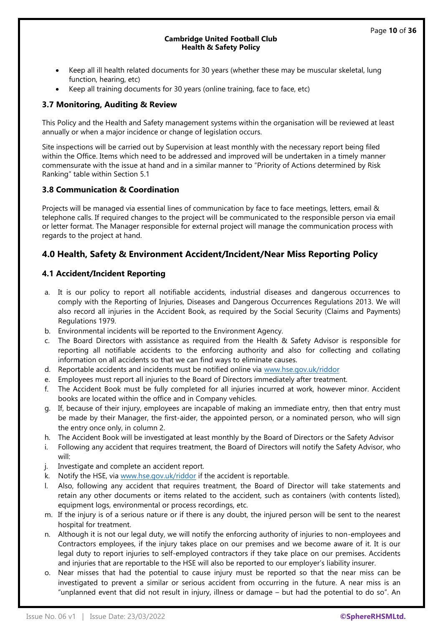- Keep all ill health related documents for 30 years (whether these may be muscular skeletal, lung function, hearing, etc)
- Keep all training documents for 30 years (online training, face to face, etc)

#### **3.7 Monitoring, Auditing & Review**

This Policy and the Health and Safety management systems within the organisation will be reviewed at least annually or when a major incidence or change of legislation occurs.

Site inspections will be carried out by Supervision at least monthly with the necessary report being filed within the Office. Items which need to be addressed and improved will be undertaken in a timely manner commensurate with the issue at hand and in a similar manner to "Priority of Actions determined by Risk Ranking" table within Section 5.1

## **3.8 Communication & Coordination**

Projects will be managed via essential lines of communication by face to face meetings, letters, email & telephone calls. If required changes to the project will be communicated to the responsible person via email or letter format. The Manager responsible for external project will manage the communication process with regards to the project at hand.

## **4.0 Health, Safety & Environment Accident/Incident/Near Miss Reporting Policy**

## **4.1 Accident/Incident Reporting**

- a. It is our policy to report all notifiable accidents, industrial diseases and dangerous occurrences to comply with the Reporting of Injuries, Diseases and Dangerous Occurrences Regulations 2013. We will also record all injuries in the Accident Book, as required by the Social Security (Claims and Payments) Regulations 1979.
- b. Environmental incidents will be reported to the Environment Agency.
- c. The Board Directors with assistance as required from the Health & Safety Advisor is responsible for reporting all notifiable accidents to the enforcing authority and also for collecting and collating information on all accidents so that we can find ways to eliminate causes.
- d. Reportable accidents and incidents must be notified online via [www.hse.gov.uk/riddor](http://www.hse.gov.uk/riddor)
- e. Employees must report all injuries to the Board of Directors immediately after treatment.
- f. The Accident Book must be fully completed for all injuries incurred at work, however minor. Accident books are located within the office and in Company vehicles.
- g. If, because of their injury, employees are incapable of making an immediate entry, then that entry must be made by their Manager, the first-aider, the appointed person, or a nominated person, who will sign the entry once only, in column 2.
- h. The Accident Book will be investigated at least monthly by the Board of Directors or the Safety Advisor
- i. Following any accident that requires treatment, the Board of Directors will notify the Safety Advisor, who will:
- j. Investigate and complete an accident report.
- k. Notify the HSE, via [www.hse.gov.uk/riddor](http://www.hse.gov.uk/riddor) if the accident is reportable.
- l. Also, following any accident that requires treatment, the Board of Director will take statements and retain any other documents or items related to the accident, such as containers (with contents listed), equipment logs, environmental or process recordings, etc.
- m. If the injury is of a serious nature or if there is any doubt, the injured person will be sent to the nearest hospital for treatment.
- n. Although it is not our legal duty, we will notify the enforcing authority of injuries to non-employees and Contractors employees, if the injury takes place on our premises and we become aware of it. It is our legal duty to report injuries to self-employed contractors if they take place on our premises. Accidents and injuries that are reportable to the HSE will also be reported to our employer's liability insurer.
- o. Near misses that had the potential to cause injury must be reported so that the near miss can be investigated to prevent a similar or serious accident from occurring in the future. A near miss is an "unplanned event that did not result in injury, illness or damage – but had the potential to do so". An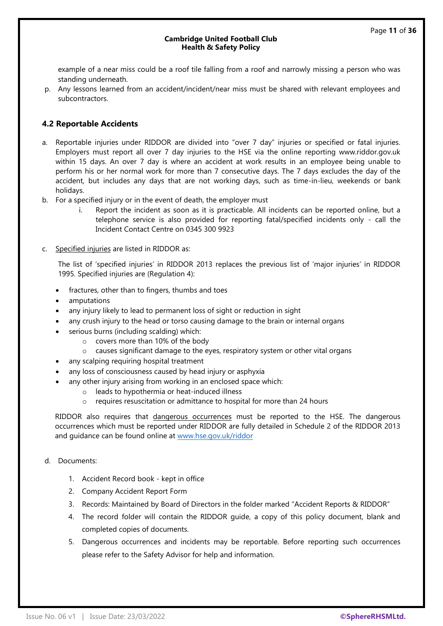example of a near miss could be a roof tile falling from a roof and narrowly missing a person who was standing underneath.

p. Any lessons learned from an accident/incident/near miss must be shared with relevant employees and subcontractors.

## **4.2 Reportable Accidents**

- a. Reportable injuries under RIDDOR are divided into "over 7 day" injuries or specified or fatal injuries. Employers must report all over 7 day injuries to the HSE via the online reporting www.riddor.gov.uk within 15 days. An over 7 day is where an accident at work results in an employee being unable to perform his or her normal work for more than 7 consecutive days. The 7 days excludes the day of the accident, but includes any days that are not working days, such as time-in-lieu, weekends or bank holidays.
- b. For a specified injury or in the event of death, the employer must
	- i. Report the incident as soon as it is practicable. All incidents can be reported online, but a telephone service is also provided for reporting fatal/specified incidents only - call the Incident Contact Centre on 0345 300 9923
- c. Specified injuries are listed in RIDDOR as:

The list of 'specified injuries' in RIDDOR 2013 replaces the previous list of 'major injuries' in RIDDOR 1995. Specified injuries are (Regulation 4):

- fractures, other than to fingers, thumbs and toes
- amputations
- any injury likely to lead to permanent loss of sight or reduction in sight
- any crush injury to the head or torso causing damage to the brain or internal organs
- serious burns (including scalding) which:
	- o covers more than 10% of the body
	- o causes significant damage to the eyes, respiratory system or other vital organs
- any scalping requiring hospital treatment
- any loss of consciousness caused by head injury or asphyxia
- any other injury arising from working in an enclosed space which:
	- o leads to hypothermia or heat-induced illness
	- o requires resuscitation or admittance to hospital for more than 24 hours

RIDDOR also requires that dangerous occurrences must be reported to the HSE. The dangerous occurrences which must be reported under RIDDOR are fully detailed in Schedule 2 of the RIDDOR 2013 and guidance can be found online at [www.hse.gov.uk/riddor](http://www.hse.gov.uk/riddor)

- d. Documents:
	- 1. Accident Record book kept in office
	- 2. Company Accident Report Form
	- 3. Records: Maintained by Board of Directors in the folder marked "Accident Reports & RIDDOR"
	- 4. The record folder will contain the RIDDOR guide, a copy of this policy document, blank and completed copies of documents.
	- 5. Dangerous occurrences and incidents may be reportable. Before reporting such occurrences please refer to the Safety Advisor for help and information.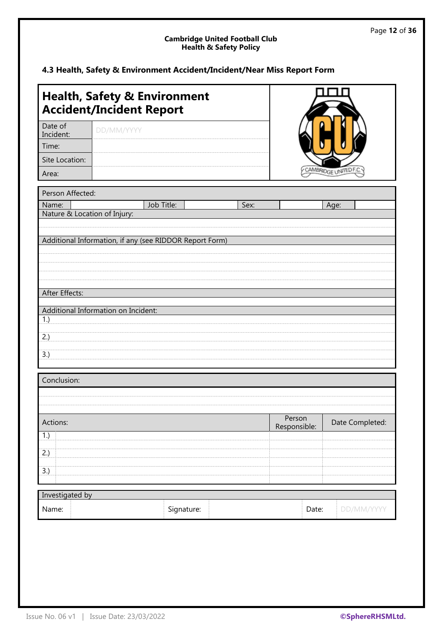## **4.3 Health, Safety & Environment Accident/Incident/Near Miss Report Form**

|                                     | <b>Health, Safety &amp; Environment</b><br><b>Accident/Incident Report</b>                     |            |      |                        |                      |
|-------------------------------------|------------------------------------------------------------------------------------------------|------------|------|------------------------|----------------------|
| Date of<br>Incident:                | DD/MM/YYYY                                                                                     |            |      |                        |                      |
| Time:                               |                                                                                                |            |      |                        |                      |
| Site Location:                      |                                                                                                |            |      |                        |                      |
| Area:                               |                                                                                                |            |      |                        | CAMBRIDGE UNITED F.C |
| Person Affected:                    |                                                                                                |            |      |                        |                      |
| Name:                               |                                                                                                | Job Title: | Sex: |                        | Age:                 |
| Nature & Location of Injury:        |                                                                                                |            |      |                        |                      |
| After Effects:<br>1.)<br>2.)<br>3.) | Additional Information, if any (see RIDDOR Report Form)<br>Additional Information on Incident: |            |      |                        |                      |
| Conclusion:                         |                                                                                                |            |      |                        |                      |
|                                     |                                                                                                |            |      |                        |                      |
|                                     |                                                                                                |            |      |                        |                      |
| Actions:                            |                                                                                                |            |      | Person<br>Responsible: | Date Completed:      |
| 1.)                                 |                                                                                                |            |      |                        |                      |
| 2.)                                 |                                                                                                |            |      |                        |                      |
| 3.)                                 |                                                                                                |            |      |                        |                      |
|                                     |                                                                                                |            |      |                        |                      |
| Investigated by                     |                                                                                                |            |      |                        |                      |
| Name:                               |                                                                                                | Signature: |      | Date:                  | DD/MM/YYYY           |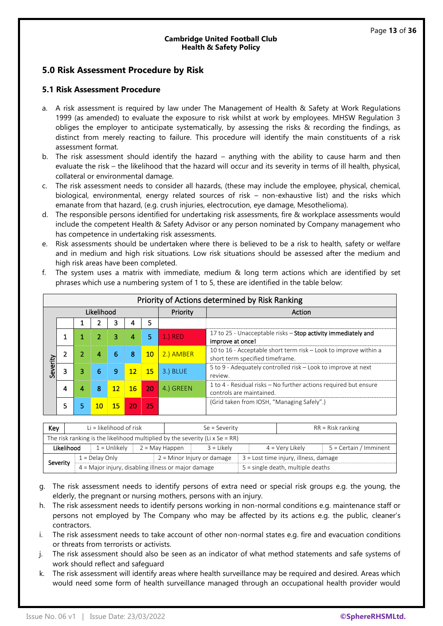## **5.0 Risk Assessment Procedure by Risk**

#### **5.1 Risk Assessment Procedure**

- a. A risk assessment is required by law under The Management of Health & Safety at Work Regulations 1999 (as amended) to evaluate the exposure to risk whilst at work by employees. MHSW Regulation 3 obliges the employer to anticipate systematically, by assessing the risks & recording the findings, as distinct from merely reacting to failure. This procedure will identify the main constituents of a risk assessment format.
- b. The risk assessment should identify the hazard anything with the ability to cause harm and then evaluate the risk – the likelihood that the hazard will occur and its severity in terms of ill health, physical, collateral or environmental damage.
- c. The risk assessment needs to consider all hazards, (these may include the employee, physical, chemical, biological, environmental, energy related sources of risk – non-exhaustive list) and the risks which emanate from that hazard, (e.g. crush injuries, electrocution, eye damage, Mesothelioma).
- d. The responsible persons identified for undertaking risk assessments, fire & workplace assessments would include the competent Health & Safety Advisor or any person nominated by Company management who has competence in undertaking risk assessments.
- e. Risk assessments should be undertaken where there is believed to be a risk to health, safety or welfare and in medium and high risk situations. Low risk situations should be assessed after the medium and high risk areas have been completed.

|            | Priority of Actions determined by Risk Ranking |   |                 |          |                 |    |           |                                                                                                     |
|------------|------------------------------------------------|---|-----------------|----------|-----------------|----|-----------|-----------------------------------------------------------------------------------------------------|
| Likelihood |                                                |   |                 | Priority | Action          |    |           |                                                                                                     |
|            |                                                |   |                 |          |                 | 5  |           |                                                                                                     |
|            |                                                |   |                 | 3        | 4               | 5  | $1.)$ RED | 17 to 25 - Unacceptable risks - Stop activity immediately and<br>improve at once!                   |
|            |                                                | 2 | 4               | 6        | 8               | 10 | 2.) AMBER | 10 to 16 - Acceptable short term risk – Look to improve within a<br>short term specified timeframe. |
| Severity   |                                                | 3 | 6               | 9        | 12 <sup>2</sup> | 15 | 3.) BLUE  | 5 to 9 - Adequately controlled risk – Look to improve at next<br>review.                            |
|            | 4                                              | 4 | 8               | 12       | 16              | 20 | 4.) GREEN | 1 to 4 - Residual risks – No further actions required but ensure<br>controls are maintained.        |
|            | 5                                              | 5 | 10 <sub>1</sub> | 15       | 20              | 25 |           | (Grid taken from IOSH, "Managing Safely".)                                                          |

f. The system uses a matrix with immediate, medium & long term actions which are identified by set phrases which use a numbering system of 1 to 5, these are identified in the table below:

| Key                                                             | $Li = likelihood$ of risk                                                    |                                       | $Se = Severity$                     |  | $RR = Risk$ ranking |                        |  |
|-----------------------------------------------------------------|------------------------------------------------------------------------------|---------------------------------------|-------------------------------------|--|---------------------|------------------------|--|
|                                                                 | The risk ranking is the likelihood multiplied by the severity (Li x Se = RR) |                                       |                                     |  |                     |                        |  |
|                                                                 | Likelihood<br>$1 =$ Unlikely                                                 | $2 = May$ Happen                      | $3 =$ Likely                        |  | $4 = V$ ery Likely  | 5 = Certain / Imminent |  |
| $2 =$ Minor Injury or damage<br>$1 =$ Delay Only                |                                                                              | 3 = Lost time injury, illness, damage |                                     |  |                     |                        |  |
| Severity<br>4 = Major injury, disabling illness or major damage |                                                                              |                                       | $5 =$ single death, multiple deaths |  |                     |                        |  |

- g. The risk assessment needs to identify persons of extra need or special risk groups e.g. the young, the elderly, the pregnant or nursing mothers, persons with an injury.
- h. The risk assessment needs to identify persons working in non-normal conditions e.g. maintenance staff or persons not employed by The Company who may be affected by its actions e.g. the public, cleaner's contractors.
- i. The risk assessment needs to take account of other non-normal states e.g. fire and evacuation conditions or threats from terrorists or activists.
- j. The risk assessment should also be seen as an indicator of what method statements and safe systems of work should reflect and safeguard
- k. The risk assessment will identify areas where health surveillance may be required and desired. Areas which would need some form of health surveillance managed through an occupational health provider would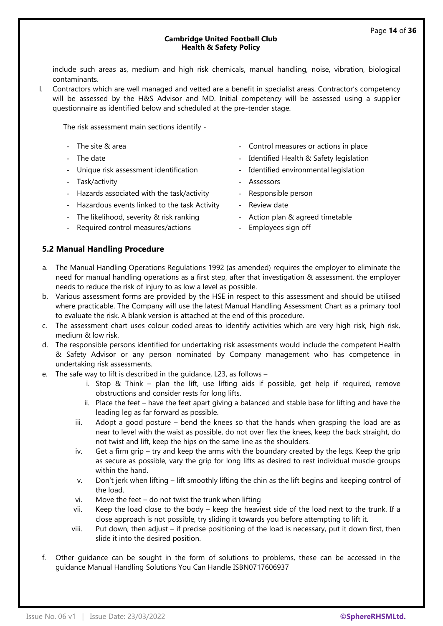include such areas as, medium and high risk chemicals, manual handling, noise, vibration, biological contaminants.

l. Contractors which are well managed and vetted are a benefit in specialist areas. Contractor's competency will be assessed by the H&S Advisor and MD. Initial competency will be assessed using a supplier questionnaire as identified below and scheduled at the pre-tender stage.

The risk assessment main sections identify -

- 
- 
- Unique risk assessment identification Identified environmental legislation
- Task/activity  **Assessors**
- Hazards associated with the task/activity Responsible person
- Hazardous events linked to the task Activity Review date
- The likelihood, severity & risk ranking Action plan & agreed timetable
- Required control measures/actions Employees sign off
- The site & area  $\overline{\phantom{a}}$  Control measures or actions in place
- The date  $\overline{a}$  and  $\overline{b}$  are in the Identified Health & Safety legislation
	-
	-
	-
	-
	-
	-

#### **5.2 Manual Handling Procedure**

- a. The Manual Handling Operations Regulations 1992 (as amended) requires the employer to eliminate the need for manual handling operations as a first step, after that investigation & assessment, the employer needs to reduce the risk of injury to as low a level as possible.
- b. Various assessment forms are provided by the HSE in respect to this assessment and should be utilised where practicable. The Company will use the latest Manual Handling Assessment Chart as a primary tool to evaluate the risk. A blank version is attached at the end of this procedure.
- c. The assessment chart uses colour coded areas to identify activities which are very high risk, high risk, medium & low risk.
- d. The responsible persons identified for undertaking risk assessments would include the competent Health & Safety Advisor or any person nominated by Company management who has competence in undertaking risk assessments.
- e. The safe way to lift is described in the guidance, L23, as follows
	- i. Stop & Think plan the lift, use lifting aids if possible, get help if required, remove obstructions and consider rests for long lifts.
	- ii. Place the feet have the feet apart giving a balanced and stable base for lifting and have the leading leg as far forward as possible.
	- iii. Adopt a good posture bend the knees so that the hands when grasping the load are as near to level with the waist as possible, do not over flex the knees, keep the back straight, do not twist and lift, keep the hips on the same line as the shoulders.
	- iv. Get a firm grip try and keep the arms with the boundary created by the legs. Keep the grip as secure as possible, vary the grip for long lifts as desired to rest individual muscle groups within the hand.
	- v. Don't jerk when lifting lift smoothly lifting the chin as the lift begins and keeping control of the load.
	- vi. Move the feet do not twist the trunk when lifting
	- vii. Keep the load close to the body keep the heaviest side of the load next to the trunk. If a close approach is not possible, try sliding it towards you before attempting to lift it.
	- viii. Put down, then adjust if precise positioning of the load is necessary, put it down first, then slide it into the desired position.
- f. Other guidance can be sought in the form of solutions to problems, these can be accessed in the guidance Manual Handling Solutions You Can Handle ISBN0717606937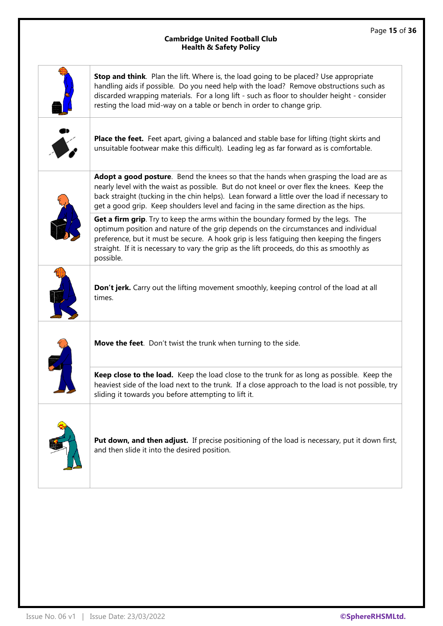|                  | Stop and think. Plan the lift. Where is, the load going to be placed? Use appropriate<br>handling aids if possible. Do you need help with the load? Remove obstructions such as<br>discarded wrapping materials. For a long lift - such as floor to shoulder height - consider<br>resting the load mid-way on a table or bench in order to change grip.                          |
|------------------|----------------------------------------------------------------------------------------------------------------------------------------------------------------------------------------------------------------------------------------------------------------------------------------------------------------------------------------------------------------------------------|
| $\ddot{\bullet}$ | Place the feet. Feet apart, giving a balanced and stable base for lifting (tight skirts and<br>unsuitable footwear make this difficult). Leading leg as far forward as is comfortable.                                                                                                                                                                                           |
|                  | Adopt a good posture. Bend the knees so that the hands when grasping the load are as<br>nearly level with the waist as possible. But do not kneel or over flex the knees. Keep the<br>back straight (tucking in the chin helps). Lean forward a little over the load if necessary to<br>get a good grip. Keep shoulders level and facing in the same direction as the hips.      |
|                  | Get a firm grip. Try to keep the arms within the boundary formed by the legs. The<br>optimum position and nature of the grip depends on the circumstances and individual<br>preference, but it must be secure. A hook grip is less fatiguing then keeping the fingers<br>straight. If it is necessary to vary the grip as the lift proceeds, do this as smoothly as<br>possible. |
|                  | Don't jerk. Carry out the lifting movement smoothly, keeping control of the load at all<br>times.                                                                                                                                                                                                                                                                                |
|                  | Move the feet. Don't twist the trunk when turning to the side.                                                                                                                                                                                                                                                                                                                   |
|                  | Keep close to the load. Keep the load close to the trunk for as long as possible. Keep the<br>heaviest side of the load next to the trunk. If a close approach to the load is not possible, try<br>sliding it towards you before attempting to lift it.                                                                                                                          |
|                  | Put down, and then adjust. If precise positioning of the load is necessary, put it down first,<br>and then slide it into the desired position.                                                                                                                                                                                                                                   |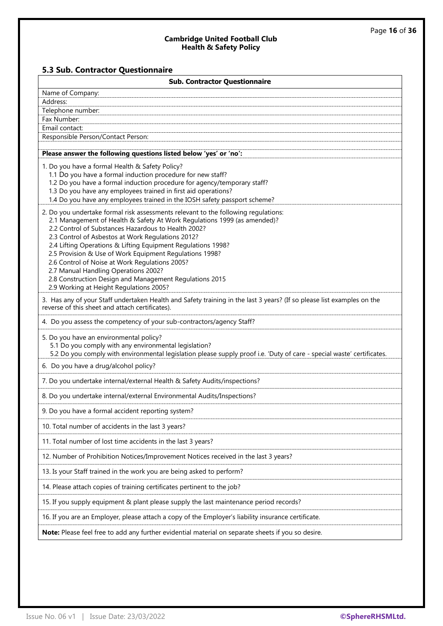## **5.3 Sub. Contractor Questionnaire**

| <b>Sub. Contractor Questionnaire</b>                                                                                                                                                                                                                                                                                                                                                                                                                                                                                                                                                                  |  |  |  |  |
|-------------------------------------------------------------------------------------------------------------------------------------------------------------------------------------------------------------------------------------------------------------------------------------------------------------------------------------------------------------------------------------------------------------------------------------------------------------------------------------------------------------------------------------------------------------------------------------------------------|--|--|--|--|
| Name of Company:                                                                                                                                                                                                                                                                                                                                                                                                                                                                                                                                                                                      |  |  |  |  |
| Address:                                                                                                                                                                                                                                                                                                                                                                                                                                                                                                                                                                                              |  |  |  |  |
| Telephone number:                                                                                                                                                                                                                                                                                                                                                                                                                                                                                                                                                                                     |  |  |  |  |
| Fax Number:<br>Email contact:                                                                                                                                                                                                                                                                                                                                                                                                                                                                                                                                                                         |  |  |  |  |
| Responsible Person/Contact Person:                                                                                                                                                                                                                                                                                                                                                                                                                                                                                                                                                                    |  |  |  |  |
|                                                                                                                                                                                                                                                                                                                                                                                                                                                                                                                                                                                                       |  |  |  |  |
| Please answer the following questions listed below 'yes' or 'no':                                                                                                                                                                                                                                                                                                                                                                                                                                                                                                                                     |  |  |  |  |
| 1. Do you have a formal Health & Safety Policy?<br>1.1 Do you have a formal induction procedure for new staff?<br>1.2 Do you have a formal induction procedure for agency/temporary staff?<br>1.3 Do you have any employees trained in first aid operations?<br>1.4 Do you have any employees trained in the IOSH safety passport scheme?                                                                                                                                                                                                                                                             |  |  |  |  |
| 2. Do you undertake formal risk assessments relevant to the following regulations:<br>2.1 Management of Health & Safety At Work Regulations 1999 (as amended)?<br>2.2 Control of Substances Hazardous to Health 2002?<br>2.3 Control of Asbestos at Work Regulations 2012?<br>2.4 Lifting Operations & Lifting Equipment Regulations 1998?<br>2.5 Provision & Use of Work Equipment Regulations 1998?<br>2.6 Control of Noise at Work Regulations 2005?<br>2.7 Manual Handling Operations 2002?<br>2.8 Construction Design and Management Regulations 2015<br>2.9 Working at Height Regulations 2005? |  |  |  |  |
| 3. Has any of your Staff undertaken Health and Safety training in the last 3 years? (If so please list examples on the<br>reverse of this sheet and attach certificates).                                                                                                                                                                                                                                                                                                                                                                                                                             |  |  |  |  |
| 4. Do you assess the competency of your sub-contractors/agency Staff?                                                                                                                                                                                                                                                                                                                                                                                                                                                                                                                                 |  |  |  |  |
| 5. Do you have an environmental policy?<br>5.1 Do you comply with any environmental legislation?<br>5.2 Do you comply with environmental legislation please supply proof i.e. 'Duty of care - special waste' certificates.                                                                                                                                                                                                                                                                                                                                                                            |  |  |  |  |
| 6. Do you have a drug/alcohol policy?                                                                                                                                                                                                                                                                                                                                                                                                                                                                                                                                                                 |  |  |  |  |
| 7. Do you undertake internal/external Health & Safety Audits/inspections?                                                                                                                                                                                                                                                                                                                                                                                                                                                                                                                             |  |  |  |  |
| 8. Do you undertake internal/external Environmental Audits/Inspections?                                                                                                                                                                                                                                                                                                                                                                                                                                                                                                                               |  |  |  |  |
| 9. Do you have a formal accident reporting system?                                                                                                                                                                                                                                                                                                                                                                                                                                                                                                                                                    |  |  |  |  |
| 10. Total number of accidents in the last 3 years?                                                                                                                                                                                                                                                                                                                                                                                                                                                                                                                                                    |  |  |  |  |
| 11. Total number of lost time accidents in the last 3 years?                                                                                                                                                                                                                                                                                                                                                                                                                                                                                                                                          |  |  |  |  |
| 12. Number of Prohibition Notices/Improvement Notices received in the last 3 years?                                                                                                                                                                                                                                                                                                                                                                                                                                                                                                                   |  |  |  |  |
| 13. Is your Staff trained in the work you are being asked to perform?                                                                                                                                                                                                                                                                                                                                                                                                                                                                                                                                 |  |  |  |  |
| 14. Please attach copies of training certificates pertinent to the job?                                                                                                                                                                                                                                                                                                                                                                                                                                                                                                                               |  |  |  |  |
| 15. If you supply equipment & plant please supply the last maintenance period records?                                                                                                                                                                                                                                                                                                                                                                                                                                                                                                                |  |  |  |  |
| 16. If you are an Employer, please attach a copy of the Employer's liability insurance certificate.                                                                                                                                                                                                                                                                                                                                                                                                                                                                                                   |  |  |  |  |
| Note: Please feel free to add any further evidential material on separate sheets if you so desire.                                                                                                                                                                                                                                                                                                                                                                                                                                                                                                    |  |  |  |  |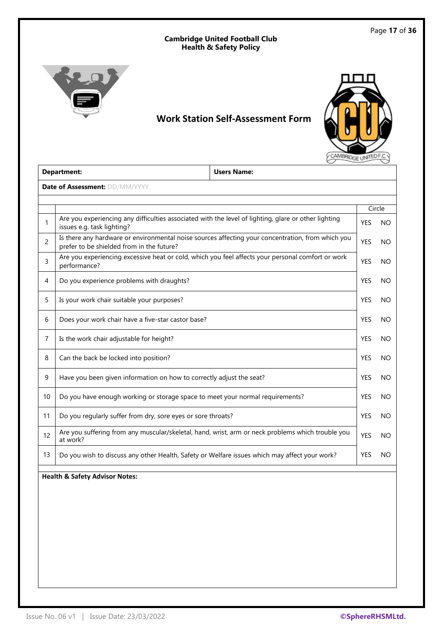

## **Work Station Self-Assessment Form**



| <b>Users Name:</b><br><b>Department:</b> |                                                                                                                                                |  |            |        |
|------------------------------------------|------------------------------------------------------------------------------------------------------------------------------------------------|--|------------|--------|
|                                          | <b>Date of Assessment: DD/MM/YYYY</b>                                                                                                          |  |            |        |
|                                          |                                                                                                                                                |  |            |        |
|                                          |                                                                                                                                                |  |            | Circle |
| 1                                        | Are you experiencing any difficulties associated with the level of lighting, glare or other lighting<br>issues e.g. task lighting?             |  | <b>YES</b> | NO.    |
| $\overline{2}$                           | Is there any hardware or environmental noise sources affecting your concentration, from which you<br>prefer to be shielded from in the future? |  | <b>YES</b> | NO     |
| 3                                        | Are you experiencing excessive heat or cold, which you feel affects your personal comfort or work<br>performance?                              |  | <b>YES</b> | NΟ     |
| 4                                        | Do you experience problems with draughts?                                                                                                      |  | <b>YES</b> | NO     |
| 5                                        | Is your work chair suitable your purposes?                                                                                                     |  | <b>YES</b> | NO     |
| 6                                        | Does your work chair have a five-star castor base?                                                                                             |  | <b>YES</b> | NO.    |
| 7                                        | Is the work chair adjustable for height?                                                                                                       |  | <b>YES</b> | NΟ     |
| 8                                        | Can the back be locked into position?                                                                                                          |  | <b>YES</b> | NO.    |
| 9                                        | Have you been given information on how to correctly adjust the seat?                                                                           |  | <b>YES</b> | NO     |
| 10                                       | Do you have enough working or storage space to meet your normal requirements?                                                                  |  | <b>YES</b> | NO.    |
| 11                                       | Do you regularly suffer from dry, sore eyes or sore throats?                                                                                   |  | <b>YES</b> | NO     |
| 12                                       | Are you suffering from any muscular/skeletal, hand, wrist, arm or neck problems which trouble you<br>at work?                                  |  | <b>YES</b> | NΟ     |
| 13                                       | Do you wish to discuss any other Health, Safety or Welfare issues which may affect your work?                                                  |  | <b>YES</b> | NO     |

## **Health & Safety Advisor Notes:**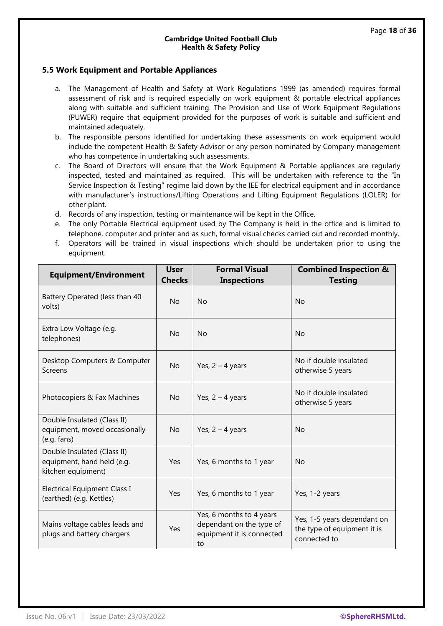#### **5.5 Work Equipment and Portable Appliances**

- a. The Management of Health and Safety at Work Regulations 1999 (as amended) requires formal assessment of risk and is required especially on work equipment & portable electrical appliances along with suitable and sufficient training. The Provision and Use of Work Equipment Regulations (PUWER) require that equipment provided for the purposes of work is suitable and sufficient and maintained adequately.
- b. The responsible persons identified for undertaking these assessments on work equipment would include the competent Health & Safety Advisor or any person nominated by Company management who has competence in undertaking such assessments.
- c. The Board of Directors will ensure that the Work Equipment & Portable appliances are regularly inspected, tested and maintained as required. This will be undertaken with reference to the "In Service Inspection & Testing" regime laid down by the IEE for electrical equipment and in accordance with manufacturer's instructions/Lifting Operations and Lifting Equipment Regulations (LOLER) for other plant.
- d. Records of any inspection, testing or maintenance will be kept in the Office.
- e. The only Portable Electrical equipment used by The Company is held in the office and is limited to telephone, computer and printer and as such, formal visual checks carried out and recorded monthly.
- f. Operators will be trained in visual inspections which should be undertaken prior to using the equipment.

| <b>Equipment/Environment</b>                                                    | <b>User</b><br><b>Checks</b> | <b>Formal Visual</b><br><b>Inspections</b>                                              | <b>Combined Inspection &amp;</b><br><b>Testing</b>                         |
|---------------------------------------------------------------------------------|------------------------------|-----------------------------------------------------------------------------------------|----------------------------------------------------------------------------|
| Battery Operated (less than 40<br>volts)                                        | <b>No</b>                    | <b>No</b>                                                                               | <b>No</b>                                                                  |
| Extra Low Voltage (e.g.<br>telephones)                                          | <b>No</b>                    | <b>No</b>                                                                               | <b>No</b>                                                                  |
| Desktop Computers & Computer<br>Screens                                         | <b>No</b>                    | Yes, $2 - 4$ years                                                                      | No if double insulated<br>otherwise 5 years                                |
| Photocopiers & Fax Machines                                                     | No                           | Yes, $2 - 4$ years                                                                      | No if double insulated<br>otherwise 5 years                                |
| Double Insulated (Class II)<br>equipment, moved occasionally<br>(e.g. fans)     | No                           | Yes, $2 - 4$ years                                                                      | <b>No</b>                                                                  |
| Double Insulated (Class II)<br>equipment, hand held (e.g.<br>kitchen equipment) | Yes                          | Yes, 6 months to 1 year                                                                 | <b>No</b>                                                                  |
| <b>Electrical Equipment Class I</b><br>(earthed) (e.g. Kettles)                 | Yes                          | Yes, 6 months to 1 year                                                                 | Yes, 1-2 years                                                             |
| Mains voltage cables leads and<br>plugs and battery chargers                    | Yes                          | Yes, 6 months to 4 years<br>dependant on the type of<br>equipment it is connected<br>to | Yes, 1-5 years dependant on<br>the type of equipment it is<br>connected to |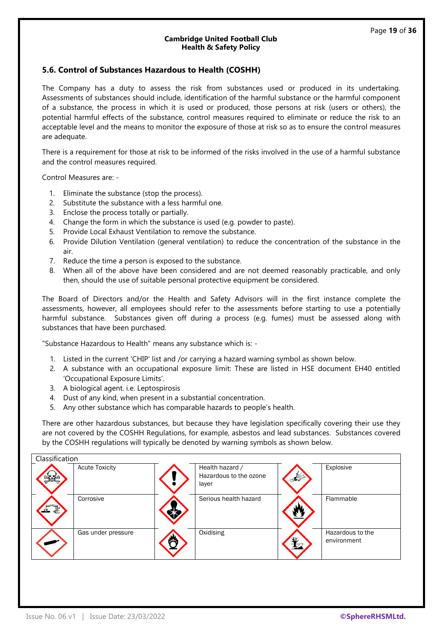#### **5.6. Control of Substances Hazardous to Health (COSHH)**

The Company has a duty to assess the risk from substances used or produced in its undertaking. Assessments of substances should include, identification of the harmful substance or the harmful component of a substance, the process in which it is used or produced, those persons at risk (users or others), the potential harmful effects of the substance, control measures required to eliminate or reduce the risk to an acceptable level and the means to monitor the exposure of those at risk so as to ensure the control measures are adequate.

There is a requirement for those at risk to be informed of the risks involved in the use of a harmful substance and the control measures required.

Control Measures are: -

- 1. Eliminate the substance (stop the process).
- 2. Substitute the substance with a less harmful one.
- 3. Enclose the process totally or partially.
- 4. Change the form in which the substance is used (e.g. powder to paste).
- 5. Provide Local Exhaust Ventilation to remove the substance.
- 6. Provide Dilution Ventilation (general ventilation) to reduce the concentration of the substance in the air.
- 7. Reduce the time a person is exposed to the substance.
- 8. When all of the above have been considered and are not deemed reasonably practicable, and only then, should the use of suitable personal protective equipment be considered.

The Board of Directors and/or the Health and Safety Advisors will in the first instance complete the assessments, however, all employees should refer to the assessments before starting to use a potentially harmful substance. Substances given off during a process (e.g. fumes) must be assessed along with substances that have been purchased.

"Substance Hazardous to Health" means any substance which is: -

- 1. Listed in the current 'CHIP' list and /or carrying a hazard warning symbol as shown below.
- 2. A substance with an occupational exposure limit: These are listed in HSE document EH40 entitled 'Occupational Exposure Limits'.
- 3. A biological agent. i.e. Leptospirosis
- 4. Dust of any kind, when present in a substantial concentration.
- 5. Any other substance which has comparable hazards to people's health.

There are other hazardous substances, but because they have legislation specifically covering their use they are not covered by the COSHH Regulations, for example, asbestos and lead substances. Substances covered by the COSHH regulations will typically be denoted by warning symbols as shown below.

| Classification |                       |  |                                           |  |                  |  |
|----------------|-----------------------|--|-------------------------------------------|--|------------------|--|
|                | <b>Acute Toxicity</b> |  | Health hazard /<br>Hazardous to the ozone |  | Explosive        |  |
|                |                       |  | layer                                     |  |                  |  |
|                | Corrosive             |  | Serious health hazard                     |  | Flammable        |  |
|                | Gas under pressure    |  | Oxidising                                 |  | Hazardous to the |  |
|                |                       |  |                                           |  | environment      |  |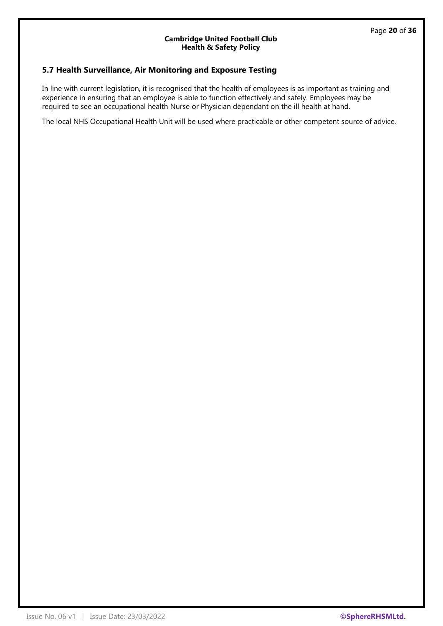## **5.7 Health Surveillance, Air Monitoring and Exposure Testing**

In line with current legislation, it is recognised that the health of employees is as important as training and experience in ensuring that an employee is able to function effectively and safely. Employees may be required to see an occupational health Nurse or Physician dependant on the ill health at hand.

The local NHS Occupational Health Unit will be used where practicable or other competent source of advice.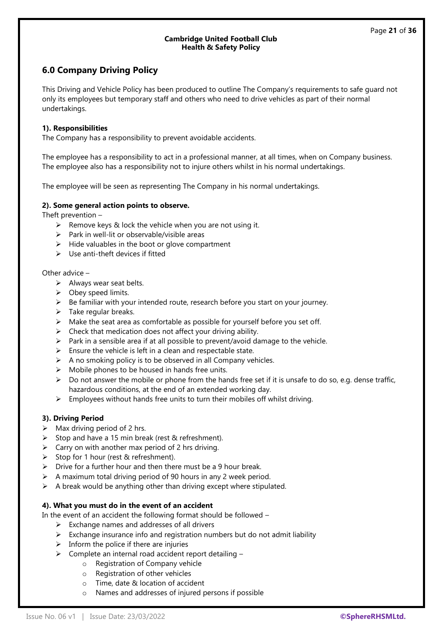## **6.0 Company Driving Policy**

This Driving and Vehicle Policy has been produced to outline The Company's requirements to safe guard not only its employees but temporary staff and others who need to drive vehicles as part of their normal undertakings.

#### **1). Responsibilities**

The Company has a responsibility to prevent avoidable accidents.

The employee has a responsibility to act in a professional manner, at all times, when on Company business. The employee also has a responsibility not to injure others whilst in his normal undertakings.

The employee will be seen as representing The Company in his normal undertakings.

#### **2). Some general action points to observe.**

Theft prevention –

- $\triangleright$  Remove keys & lock the vehicle when you are not using it.
- $\triangleright$  Park in well-lit or observable/visible areas
- ➢ Hide valuables in the boot or glove compartment
- $\triangleright$  Use anti-theft devices if fitted

#### Other advice –

- $\triangleright$  Always wear seat belts.
- $\triangleright$  Obey speed limits.
- $\triangleright$  Be familiar with your intended route, research before you start on your journey.
- $\triangleright$  Take regular breaks.
- $\triangleright$  Make the seat area as comfortable as possible for yourself before you set off.
- $\triangleright$  Check that medication does not affect your driving ability.
- $\triangleright$  Park in a sensible area if at all possible to prevent/avoid damage to the vehicle.
- $\triangleright$  Ensure the vehicle is left in a clean and respectable state.
- $\triangleright$  A no smoking policy is to be observed in all Company vehicles.
- $\triangleright$  Mobile phones to be housed in hands free units.
- $\triangleright$  Do not answer the mobile or phone from the hands free set if it is unsafe to do so, e.g. dense traffic, hazardous conditions, at the end of an extended working day.
- $\triangleright$  Employees without hands free units to turn their mobiles off whilst driving.

#### **3). Driving Period**

- $\triangleright$  Max driving period of 2 hrs.
- ➢ Stop and have a 15 min break (rest & refreshment).
- $\triangleright$  Carry on with another max period of 2 hrs driving.
- ➢ Stop for 1 hour (rest & refreshment).
- $\triangleright$  Drive for a further hour and then there must be a 9 hour break.
- $\triangleright$  A maximum total driving period of 90 hours in any 2 week period.
- $\triangleright$  A break would be anything other than driving except where stipulated.

#### **4). What you must do in the event of an accident**

In the event of an accident the following format should be followed –

- $\triangleright$  Exchange names and addresses of all drivers
- $\triangleright$  Exchange insurance info and registration numbers but do not admit liability
- $\triangleright$  Inform the police if there are injuries
- ➢ Complete an internal road accident report detailing
	- o Registration of Company vehicle
	- o Registration of other vehicles
	- o Time, date & location of accident
	- o Names and addresses of injured persons if possible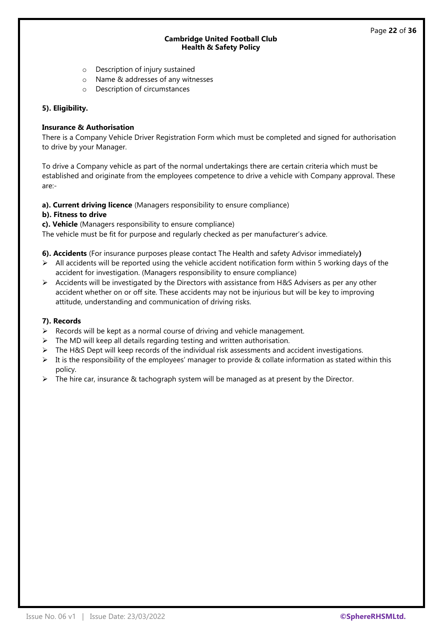- o Description of injury sustained
- o Name & addresses of any witnesses
- o Description of circumstances

#### **5). Eligibility.**

#### **Insurance & Authorisation**

There is a Company Vehicle Driver Registration Form which must be completed and signed for authorisation to drive by your Manager.

To drive a Company vehicle as part of the normal undertakings there are certain criteria which must be established and originate from the employees competence to drive a vehicle with Company approval. These are:-

**a). Current driving licence** (Managers responsibility to ensure compliance)

#### **b). Fitness to drive**

**c). Vehicle** (Managers responsibility to ensure compliance)

The vehicle must be fit for purpose and regularly checked as per manufacturer's advice.

- **6). Accidents** (For insurance purposes please contact The Health and safety Advisor immediately**)**
- $\triangleright$  All accidents will be reported using the vehicle accident notification form within 5 working days of the accident for investigation. (Managers responsibility to ensure compliance)
- $\triangleright$  Accidents will be investigated by the Directors with assistance from H&S Advisers as per any other accident whether on or off site. These accidents may not be injurious but will be key to improving attitude, understanding and communication of driving risks.

#### **7). Records**

- ➢ Records will be kept as a normal course of driving and vehicle management.
- ➢ The MD will keep all details regarding testing and written authorisation.
- $\triangleright$  The H&S Dept will keep records of the individual risk assessments and accident investigations.
- $\triangleright$  It is the responsibility of the employees' manager to provide & collate information as stated within this policy.
- $\triangleright$  The hire car, insurance & tachograph system will be managed as at present by the Director.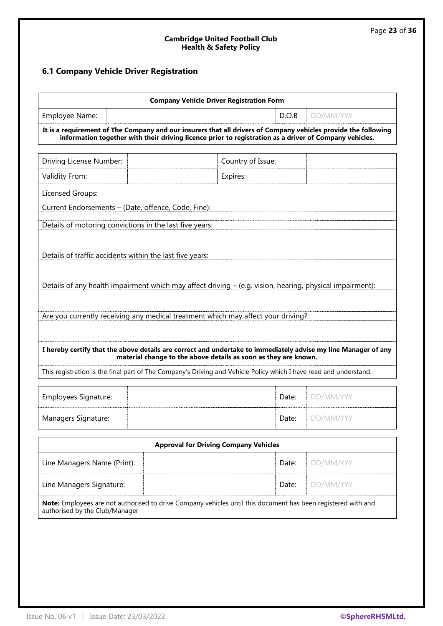## **6.1 Company Vehicle Driver Registration**

|                                                                                                                                                                                                                                 | <b>Company Vehicle Driver Registration Form</b> |           |  |  |  |  |
|---------------------------------------------------------------------------------------------------------------------------------------------------------------------------------------------------------------------------------|-------------------------------------------------|-----------|--|--|--|--|
| Employee Name:                                                                                                                                                                                                                  | D.O.B                                           | DD/MM/YYY |  |  |  |  |
| It is a requirement of The Company and our insurers that all drivers of Company vehicles provide the following<br>information together with their driving licence prior to registration as a driver of Company vehicles.        |                                                 |           |  |  |  |  |
| Driving License Number:                                                                                                                                                                                                         | Country of Issue:                               |           |  |  |  |  |
| Validity From:                                                                                                                                                                                                                  | Expires:                                        |           |  |  |  |  |
| Licensed Groups:                                                                                                                                                                                                                |                                                 |           |  |  |  |  |
| Current Endorsements - (Date, offence, Code, Fine):                                                                                                                                                                             |                                                 |           |  |  |  |  |
| Details of motoring convictions in the last five years:<br>Details of traffic accidents within the last five years:<br>Details of any health impairment which may affect driving - (e.g. vision, hearing, physical impairment): |                                                 |           |  |  |  |  |
| Are you currently receiving any medical treatment which may affect your driving?                                                                                                                                                |                                                 |           |  |  |  |  |
| I hereby certify that the above details are correct and undertake to immediately advise my line Manager of any<br>material change to the above details as soon as they are known.                                               |                                                 |           |  |  |  |  |
| This registration is the final part of The Company's Driving and Vehicle Policy which I have read and understand.                                                                                                               |                                                 |           |  |  |  |  |
| Employees Signature:                                                                                                                                                                                                            | Date:                                           | DD/MM/YYY |  |  |  |  |

| Employees Signature: | Date: | <b>I</b> DD/MM/YYY                 |
|----------------------|-------|------------------------------------|
| Managers Signature:  |       | <b>Date:</b> $\parallel$ DD/MM/YYY |

| <b>Approval for Driving Company Vehicles</b>                                                                                                    |       |                                 |  |  |  |  |
|-------------------------------------------------------------------------------------------------------------------------------------------------|-------|---------------------------------|--|--|--|--|
| Line Managers Name (Print):                                                                                                                     | Date: | DD/MM/YYY                       |  |  |  |  |
| Line Managers Signature:                                                                                                                        |       | <b>Date:</b> $\Box$ $DD/MM/YYY$ |  |  |  |  |
| Note: Employees are not authorised to drive Company vehicles until this document has been registered with and<br>authorised by the Club/Manager |       |                                 |  |  |  |  |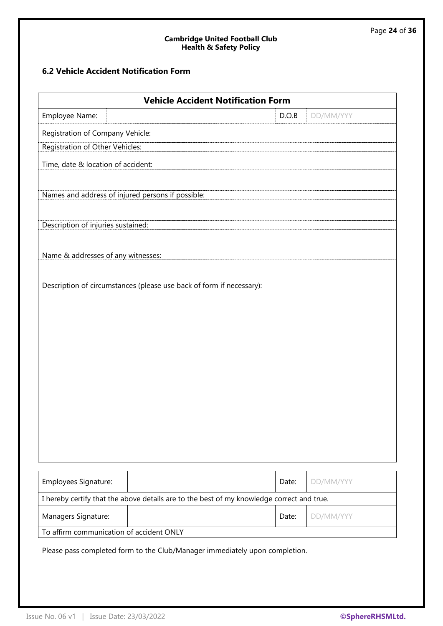## **6.2 Vehicle Accident Notification Form**

| <b>Vehicle Accident Notification Form</b>                                                 |       |           |  |  |  |  |
|-------------------------------------------------------------------------------------------|-------|-----------|--|--|--|--|
| Employee Name:                                                                            | D.O.B | DD/MM/YYY |  |  |  |  |
| Registration of Company Vehicle:                                                          |       |           |  |  |  |  |
| <b>Registration of Other Vehicles:</b>                                                    |       |           |  |  |  |  |
| Time, date & location of accident:                                                        |       |           |  |  |  |  |
|                                                                                           |       |           |  |  |  |  |
| Names and address of injured persons if possible:                                         |       |           |  |  |  |  |
| Description of injuries sustained:                                                        |       |           |  |  |  |  |
| Name & addresses of any witnesses:                                                        |       |           |  |  |  |  |
|                                                                                           |       |           |  |  |  |  |
| Description of circumstances (please use back of form if necessary):                      |       |           |  |  |  |  |
|                                                                                           |       |           |  |  |  |  |
|                                                                                           |       |           |  |  |  |  |
|                                                                                           |       |           |  |  |  |  |
|                                                                                           |       |           |  |  |  |  |
|                                                                                           |       |           |  |  |  |  |
|                                                                                           |       |           |  |  |  |  |
|                                                                                           |       |           |  |  |  |  |
|                                                                                           |       |           |  |  |  |  |
|                                                                                           |       |           |  |  |  |  |
|                                                                                           |       |           |  |  |  |  |
|                                                                                           |       |           |  |  |  |  |
|                                                                                           |       |           |  |  |  |  |
| Employees Signature:                                                                      | Date: | DD/MM/YYY |  |  |  |  |
| I hereby certify that the above details are to the best of my knowledge correct and true. |       |           |  |  |  |  |
| Managers Signature:                                                                       | Date: | DD/MM/YYY |  |  |  |  |
| To affirm communication of accident ONLY                                                  |       |           |  |  |  |  |

Please pass completed form to the Club/Manager immediately upon completion.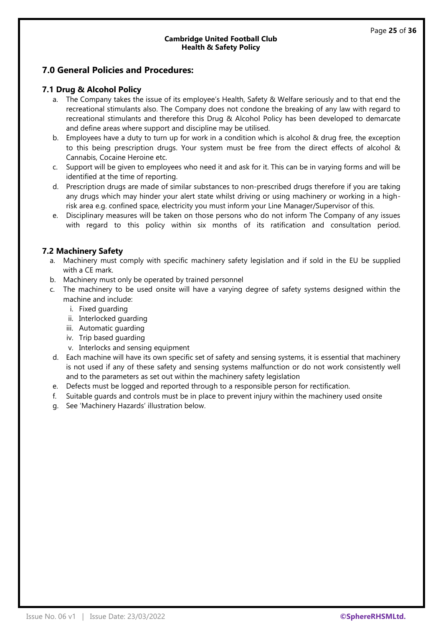## **7.0 General Policies and Procedures:**

#### **7.1 Drug & Alcohol Policy**

- a. The Company takes the issue of its employee's Health, Safety & Welfare seriously and to that end the recreational stimulants also. The Company does not condone the breaking of any law with regard to recreational stimulants and therefore this Drug & Alcohol Policy has been developed to demarcate and define areas where support and discipline may be utilised.
- b. Employees have a duty to turn up for work in a condition which is alcohol & drug free, the exception to this being prescription drugs. Your system must be free from the direct effects of alcohol & Cannabis, Cocaine Heroine etc.
- c. Support will be given to employees who need it and ask for it. This can be in varying forms and will be identified at the time of reporting.
- d. Prescription drugs are made of similar substances to non-prescribed drugs therefore if you are taking any drugs which may hinder your alert state whilst driving or using machinery or working in a highrisk area e.g. confined space, electricity you must inform your Line Manager/Supervisor of this.
- e. Disciplinary measures will be taken on those persons who do not inform The Company of any issues with regard to this policy within six months of its ratification and consultation period.

## **7.2 Machinery Safety**

- a. Machinery must comply with specific machinery safety legislation and if sold in the EU be supplied with a CE mark.
- b. Machinery must only be operated by trained personnel
- c. The machinery to be used onsite will have a varying degree of safety systems designed within the machine and include:
	- i. Fixed guarding
	- ii. Interlocked guarding
	- iii. Automatic guarding
	- iv. Trip based guarding
	- v. Interlocks and sensing equipment
- d. Each machine will have its own specific set of safety and sensing systems, it is essential that machinery is not used if any of these safety and sensing systems malfunction or do not work consistently well and to the parameters as set out within the machinery safety legislation
- e. Defects must be logged and reported through to a responsible person for rectification.
- f. Suitable guards and controls must be in place to prevent injury within the machinery used onsite
- g. See 'Machinery Hazards' illustration below.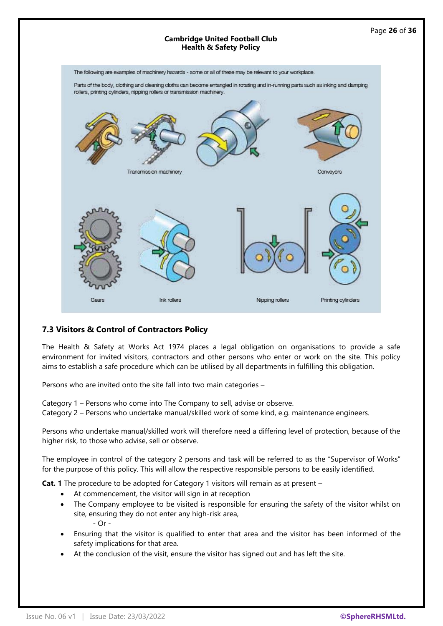

## **7.3 Visitors & Control of Contractors Policy**

The Health & Safety at Works Act 1974 places a legal obligation on organisations to provide a safe environment for invited visitors, contractors and other persons who enter or work on the site. This policy aims to establish a safe procedure which can be utilised by all departments in fulfilling this obligation.

Persons who are invited onto the site fall into two main categories –

Category 1 – Persons who come into The Company to sell, advise or observe.

Category 2 – Persons who undertake manual/skilled work of some kind, e.g. maintenance engineers.

Persons who undertake manual/skilled work will therefore need a differing level of protection, because of the higher risk, to those who advise, sell or observe.

The employee in control of the category 2 persons and task will be referred to as the "Supervisor of Works" for the purpose of this policy. This will allow the respective responsible persons to be easily identified.

**Cat. 1** The procedure to be adopted for Category 1 visitors will remain as at present –

- At commencement, the visitor will sign in at reception
- The Company employee to be visited is responsible for ensuring the safety of the visitor whilst on site, ensuring they do not enter any high-risk area, - Or -
- Ensuring that the visitor is qualified to enter that area and the visitor has been informed of the safety implications for that area.
- At the conclusion of the visit, ensure the visitor has signed out and has left the site.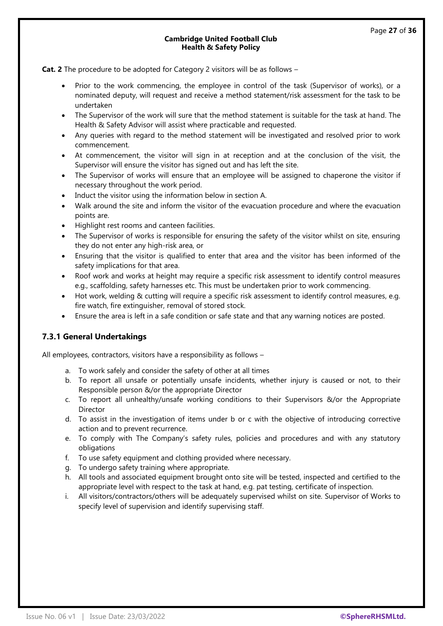**Cat. 2** The procedure to be adopted for Category 2 visitors will be as follows –

- Prior to the work commencing, the employee in control of the task (Supervisor of works), or a nominated deputy, will request and receive a method statement/risk assessment for the task to be undertaken
- The Supervisor of the work will sure that the method statement is suitable for the task at hand. The Health & Safety Advisor will assist where practicable and requested.
- Any queries with regard to the method statement will be investigated and resolved prior to work commencement.
- At commencement, the visitor will sign in at reception and at the conclusion of the visit, the Supervisor will ensure the visitor has signed out and has left the site.
- The Supervisor of works will ensure that an employee will be assigned to chaperone the visitor if necessary throughout the work period.
- Induct the visitor using the information below in section A.
- Walk around the site and inform the visitor of the evacuation procedure and where the evacuation points are.
- Highlight rest rooms and canteen facilities.
- The Supervisor of works is responsible for ensuring the safety of the visitor whilst on site, ensuring they do not enter any high-risk area, or
- Ensuring that the visitor is qualified to enter that area and the visitor has been informed of the safety implications for that area.
- Roof work and works at height may require a specific risk assessment to identify control measures e.g., scaffolding, safety harnesses etc. This must be undertaken prior to work commencing.
- Hot work, welding & cutting will require a specific risk assessment to identify control measures, e.g. fire watch, fire extinguisher, removal of stored stock.
- Ensure the area is left in a safe condition or safe state and that any warning notices are posted.

## **7.3.1 General Undertakings**

All employees, contractors, visitors have a responsibility as follows –

- a. To work safely and consider the safety of other at all times
- b. To report all unsafe or potentially unsafe incidents, whether injury is caused or not, to their Responsible person &/or the appropriate Director
- c. To report all unhealthy/unsafe working conditions to their Supervisors &/or the Appropriate Director
- d. To assist in the investigation of items under b or c with the objective of introducing corrective action and to prevent recurrence.
- e. To comply with The Company's safety rules, policies and procedures and with any statutory obligations
- f. To use safety equipment and clothing provided where necessary.
- g. To undergo safety training where appropriate.
- h. All tools and associated equipment brought onto site will be tested, inspected and certified to the appropriate level with respect to the task at hand, e.g. pat testing, certificate of inspection.
- i. All visitors/contractors/others will be adequately supervised whilst on site. Supervisor of Works to specify level of supervision and identify supervising staff.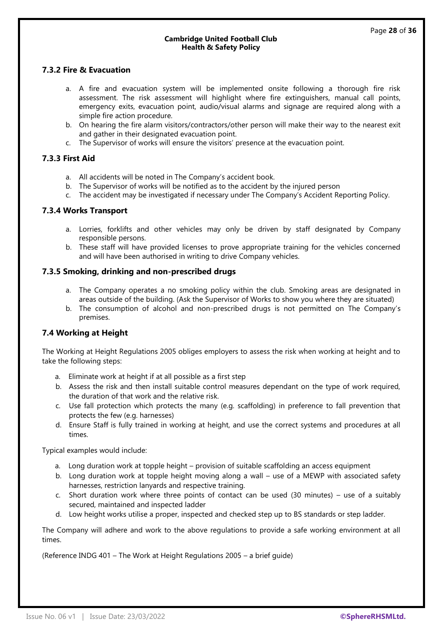## **7.3.2 Fire & Evacuation**

- a. A fire and evacuation system will be implemented onsite following a thorough fire risk assessment. The risk assessment will highlight where fire extinguishers, manual call points, emergency exits, evacuation point, audio/visual alarms and signage are required along with a simple fire action procedure.
- b. On hearing the fire alarm visitors/contractors/other person will make their way to the nearest exit and gather in their designated evacuation point.
- c. The Supervisor of works will ensure the visitors' presence at the evacuation point.

#### **7.3.3 First Aid**

- a. All accidents will be noted in The Company's accident book.
- b. The Supervisor of works will be notified as to the accident by the injured person
- c. The accident may be investigated if necessary under The Company's Accident Reporting Policy.

#### **7.3.4 Works Transport**

- a. Lorries, forklifts and other vehicles may only be driven by staff designated by Company responsible persons.
- b. These staff will have provided licenses to prove appropriate training for the vehicles concerned and will have been authorised in writing to drive Company vehicles.

#### **7.3.5 Smoking, drinking and non-prescribed drugs**

- a. The Company operates a no smoking policy within the club. Smoking areas are designated in areas outside of the building. (Ask the Supervisor of Works to show you where they are situated)
- b. The consumption of alcohol and non-prescribed drugs is not permitted on The Company's premises.

#### **7.4 Working at Height**

The Working at Height Regulations 2005 obliges employers to assess the risk when working at height and to take the following steps:

- a. Eliminate work at height if at all possible as a first step
- b. Assess the risk and then install suitable control measures dependant on the type of work required, the duration of that work and the relative risk.
- c. Use fall protection which protects the many (e.g. scaffolding) in preference to fall prevention that protects the few (e.g. harnesses)
- d. Ensure Staff is fully trained in working at height, and use the correct systems and procedures at all times.

Typical examples would include:

- a. Long duration work at topple height provision of suitable scaffolding an access equipment
- b. Long duration work at topple height moving along a wall use of a MEWP with associated safety harnesses, restriction lanyards and respective training.
- c. Short duration work where three points of contact can be used (30 minutes) use of a suitably secured, maintained and inspected ladder
- d. Low height works utilise a proper, inspected and checked step up to BS standards or step ladder.

The Company will adhere and work to the above regulations to provide a safe working environment at all times.

(Reference INDG 401 – The Work at Height Regulations 2005 – a brief guide)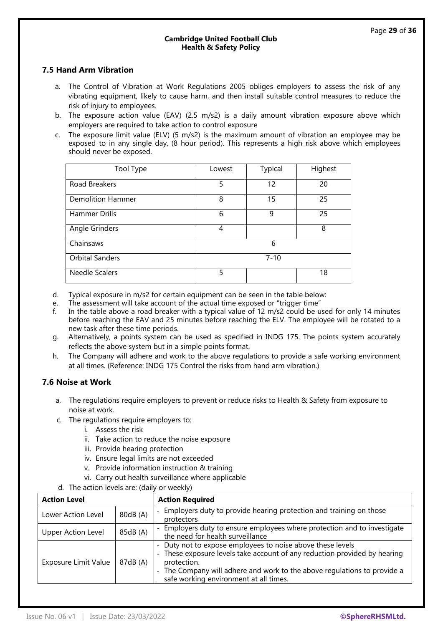## **7.5 Hand Arm Vibration**

- a. The Control of Vibration at Work Regulations 2005 obliges employers to assess the risk of any vibrating equipment, likely to cause harm, and then install suitable control measures to reduce the risk of injury to employees.
- b. The exposure action value (EAV) (2.5 m/s2) is a daily amount vibration exposure above which employers are required to take action to control exposure
- c. The exposure limit value (ELV) (5 m/s2) is the maximum amount of vibration an employee may be exposed to in any single day, (8 hour period). This represents a high risk above which employees should never be exposed.

| Tool Type              | Lowest | Typical  | Highest |
|------------------------|--------|----------|---------|
| Road Breakers          | 5      | 12       | 20      |
| Demolition Hammer      | 8      | 15       | 25      |
| Hammer Drills          | 6      | 9        | 25      |
| Angle Grinders         | 4      |          | 8       |
| Chainsaws              |        | 6        |         |
| <b>Orbital Sanders</b> |        | $7 - 10$ |         |
| Needle Scalers         | 5      |          | 18      |

- d. Typical exposure in m/s2 for certain equipment can be seen in the table below:
- e. The assessment will take account of the actual time exposed or "trigger time"
- f. In the table above a road breaker with a typical value of 12 m/s2 could be used for only 14 minutes before reaching the EAV and 25 minutes before reaching the ELV. The employee will be rotated to a new task after these time periods.
- g. Alternatively, a points system can be used as specified in INDG 175. The points system accurately reflects the above system but in a simple points format.
- h. The Company will adhere and work to the above regulations to provide a safe working environment at all times. (Reference: INDG 175 Control the risks from hand arm vibration.)

#### **7.6 Noise at Work**

- a. The regulations require employers to prevent or reduce risks to Health & Safety from exposure to noise at work.
- c. The regulations require employers to:
	- i. Assess the risk
	- ii. Take action to reduce the noise exposure
	- iii. Provide hearing protection
	- iv. Ensure legal limits are not exceeded
	- v. Provide information instruction & training
	- vi. Carry out health surveillance where applicable
- d. The action levels are: (daily or weekly)

| <b>Action Level</b><br><b>Action Required</b> |          |                                                                                                                                                                                                                                                                              |
|-----------------------------------------------|----------|------------------------------------------------------------------------------------------------------------------------------------------------------------------------------------------------------------------------------------------------------------------------------|
| Lower Action Level                            | 80dB (A) | Employers duty to provide hearing protection and training on those<br>protectors                                                                                                                                                                                             |
| <b>Upper Action Level</b>                     | 85dB (A) | - Employers duty to ensure employees where protection and to investigate<br>the need for health surveillance                                                                                                                                                                 |
| Exposure Limit Value                          | 87dB (A) | - Duty not to expose employees to noise above these levels<br>- These exposure levels take account of any reduction provided by hearing<br>protection.<br>- The Company will adhere and work to the above regulations to provide a<br>safe working environment at all times. |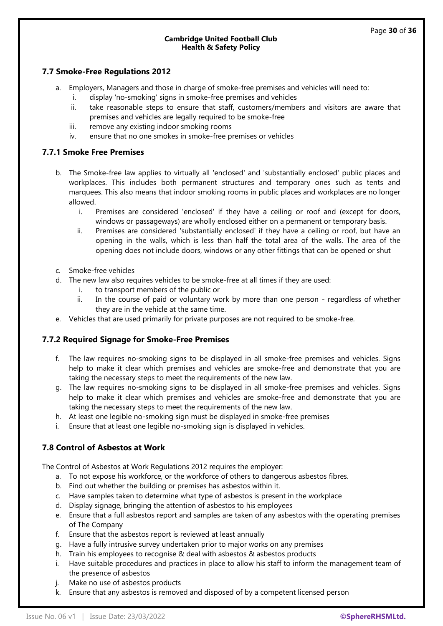#### **7.7 Smoke-Free Regulations 2012**

- a. Employers, Managers and those in charge of smoke-free premises and vehicles will need to:
	- i. display 'no-smoking' signs in smoke-free premises and vehicles
	- ii. take reasonable steps to ensure that staff, customers/members and visitors are aware that premises and vehicles are legally required to be smoke-free
	- iii. remove any existing indoor smoking rooms
	- iv. ensure that no one smokes in smoke-free premises or vehicles

#### **7.7.1 Smoke Free Premises**

- b. The Smoke-free law applies to virtually all 'enclosed' and 'substantially enclosed' public places and workplaces. This includes both permanent structures and temporary ones such as tents and marquees. This also means that indoor smoking rooms in public places and workplaces are no longer allowed.
	- i. Premises are considered 'enclosed' if they have a ceiling or roof and (except for doors, windows or passageways) are wholly enclosed either on a permanent or temporary basis.
	- ii. Premises are considered 'substantially enclosed' if they have a ceiling or roof, but have an opening in the walls, which is less than half the total area of the walls. The area of the opening does not include doors, windows or any other fittings that can be opened or shut
- c. Smoke-free vehicles
- d. The new law also requires vehicles to be smoke-free at all times if they are used:
	- i. to transport members of the public or
	- ii. In the course of paid or voluntary work by more than one person regardless of whether they are in the vehicle at the same time.
- e. Vehicles that are used primarily for private purposes are not required to be smoke-free.

#### **7.7.2 Required Signage for Smoke-Free Premises**

- f. The law requires no-smoking signs to be displayed in all smoke-free premises and vehicles. Signs help to make it clear which premises and vehicles are smoke-free and demonstrate that you are taking the necessary steps to meet the requirements of the new law.
- g. The law requires no-smoking signs to be displayed in all smoke-free premises and vehicles. Signs help to make it clear which premises and vehicles are smoke-free and demonstrate that you are taking the necessary steps to meet the requirements of the new law.
- h. At least one legible no-smoking sign must be displayed in smoke-free premises
- i. Ensure that at least one legible no-smoking sign is displayed in vehicles.

## **7.8 Control of Asbestos at Work**

The Control of Asbestos at Work Regulations 2012 requires the employer:

- a. To not expose his workforce, or the workforce of others to dangerous asbestos fibres.
- b. Find out whether the building or premises has asbestos within it.
- c. Have samples taken to determine what type of asbestos is present in the workplace
- d. Display signage, bringing the attention of asbestos to his employees
- e. Ensure that a full asbestos report and samples are taken of any asbestos with the operating premises of The Company
- f. Ensure that the asbestos report is reviewed at least annually
- g. Have a fully intrusive survey undertaken prior to major works on any premises
- h. Train his employees to recognise & deal with asbestos & asbestos products
- i. Have suitable procedures and practices in place to allow his staff to inform the management team of the presence of asbestos
- j. Make no use of asbestos products
- k. Ensure that any asbestos is removed and disposed of by a competent licensed person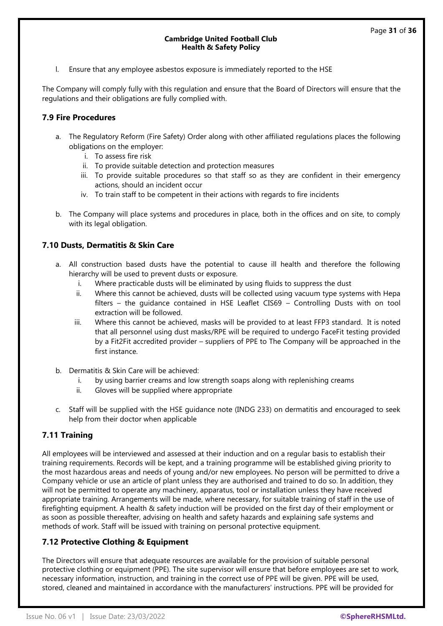l. Ensure that any employee asbestos exposure is immediately reported to the HSE

The Company will comply fully with this regulation and ensure that the Board of Directors will ensure that the regulations and their obligations are fully complied with.

#### **7.9 Fire Procedures**

- a. The Regulatory Reform (Fire Safety) Order along with other affiliated regulations places the following obligations on the employer:
	- i. To assess fire risk
	- ii. To provide suitable detection and protection measures
	- iii. To provide suitable procedures so that staff so as they are confident in their emergency actions, should an incident occur
	- iv. To train staff to be competent in their actions with regards to fire incidents
- b. The Company will place systems and procedures in place, both in the offices and on site, to comply with its legal obligation.

#### **7.10 Dusts, Dermatitis & Skin Care**

- a. All construction based dusts have the potential to cause ill health and therefore the following hierarchy will be used to prevent dusts or exposure.
	- i. Where practicable dusts will be eliminated by using fluids to suppress the dust
	- ii. Where this cannot be achieved, dusts will be collected using vacuum type systems with Hepa filters – the guidance contained in HSE Leaflet CIS69 – Controlling Dusts with on tool extraction will be followed.
	- iii. Where this cannot be achieved, masks will be provided to at least FFP3 standard. It is noted that all personnel using dust masks/RPE will be required to undergo FaceFit testing provided by a Fit2Fit accredited provider – suppliers of PPE to The Company will be approached in the first instance.
- b. Dermatitis & Skin Care will be achieved:
	- i. by using barrier creams and low strength soaps along with replenishing creams
	- ii. Gloves will be supplied where appropriate
- c. Staff will be supplied with the HSE guidance note (INDG 233) on dermatitis and encouraged to seek help from their doctor when applicable

#### **7.11 Training**

All employees will be interviewed and assessed at their induction and on a regular basis to establish their training requirements. Records will be kept, and a training programme will be established giving priority to the most hazardous areas and needs of young and/or new employees. No person will be permitted to drive a Company vehicle or use an article of plant unless they are authorised and trained to do so. In addition, they will not be permitted to operate any machinery, apparatus, tool or installation unless they have received appropriate training. Arrangements will be made, where necessary, for suitable training of staff in the use of firefighting equipment. A health & safety induction will be provided on the first day of their employment or as soon as possible thereafter, advising on health and safety hazards and explaining safe systems and methods of work. Staff will be issued with training on personal protective equipment.

#### **7.12 Protective Clothing & Equipment**

The Directors will ensure that adequate resources are available for the provision of suitable personal protective clothing or equipment (PPE). The site supervisor will ensure that before employees are set to work, necessary information, instruction, and training in the correct use of PPE will be given. PPE will be used, stored, cleaned and maintained in accordance with the manufacturers' instructions. PPE will be provided for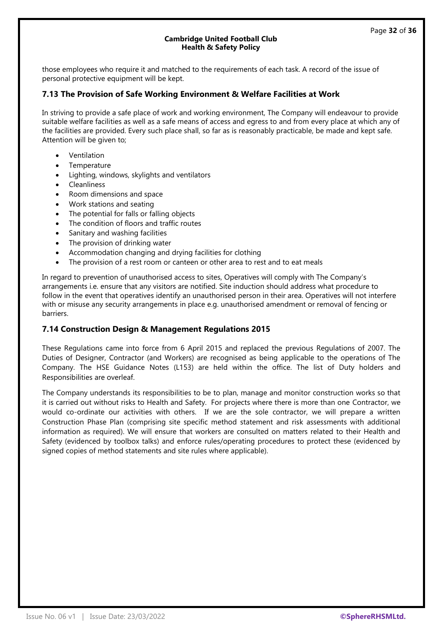those employees who require it and matched to the requirements of each task. A record of the issue of personal protective equipment will be kept.

#### **7.13 The Provision of Safe Working Environment & Welfare Facilities at Work**

In striving to provide a safe place of work and working environment, The Company will endeavour to provide suitable welfare facilities as well as a safe means of access and egress to and from every place at which any of the facilities are provided. Every such place shall, so far as is reasonably practicable, be made and kept safe. Attention will be given to;

- Ventilation
- **Temperature**
- Lighting, windows, skylights and ventilators
- **Cleanliness**
- Room dimensions and space
- Work stations and seating
- The potential for falls or falling objects
- The condition of floors and traffic routes
- Sanitary and washing facilities
- The provision of drinking water
- Accommodation changing and drying facilities for clothing
- The provision of a rest room or canteen or other area to rest and to eat meals

In regard to prevention of unauthorised access to sites, Operatives will comply with The Company's arrangements i.e. ensure that any visitors are notified. Site induction should address what procedure to follow in the event that operatives identify an unauthorised person in their area. Operatives will not interfere with or misuse any security arrangements in place e.g. unauthorised amendment or removal of fencing or barriers.

#### **7.14 Construction Design & Management Regulations 2015**

These Regulations came into force from 6 April 2015 and replaced the previous Regulations of 2007. The Duties of Designer, Contractor (and Workers) are recognised as being applicable to the operations of The Company. The HSE Guidance Notes (L153) are held within the office. The list of Duty holders and Responsibilities are overleaf.

The Company understands its responsibilities to be to plan, manage and monitor construction works so that it is carried out without risks to Health and Safety. For projects where there is more than one Contractor, we would co-ordinate our activities with others. If we are the sole contractor, we will prepare a written Construction Phase Plan (comprising site specific method statement and risk assessments with additional information as required). We will ensure that workers are consulted on matters related to their Health and Safety (evidenced by toolbox talks) and enforce rules/operating procedures to protect these (evidenced by signed copies of method statements and site rules where applicable).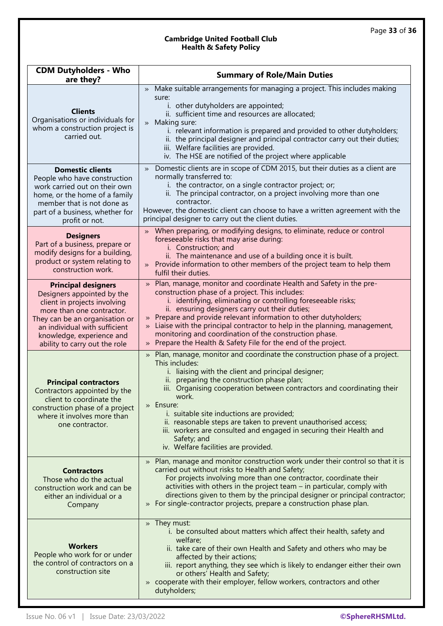| <b>CDM Dutyholders - Who</b><br>are they?                                                                                                                                                                                                              | <b>Summary of Role/Main Duties</b>                                                                                                                                                                                                                                                                                                                                                                                                                                                                                                                                                    |  |  |
|--------------------------------------------------------------------------------------------------------------------------------------------------------------------------------------------------------------------------------------------------------|---------------------------------------------------------------------------------------------------------------------------------------------------------------------------------------------------------------------------------------------------------------------------------------------------------------------------------------------------------------------------------------------------------------------------------------------------------------------------------------------------------------------------------------------------------------------------------------|--|--|
| <b>Clients</b><br>Organisations or individuals for<br>whom a construction project is<br>carried out.                                                                                                                                                   | Make suitable arrangements for managing a project. This includes making<br>$\gg$<br>sure:<br>i. other dutyholders are appointed;<br>ii. sufficient time and resources are allocated;<br>» Making sure:<br>i. relevant information is prepared and provided to other dutyholders;<br>ii. the principal designer and principal contractor carry out their duties;<br>iii. Welfare facilities are provided.<br>iv. The HSE are notified of the project where applicable                                                                                                                  |  |  |
| <b>Domestic clients</b><br>People who have construction<br>work carried out on their own<br>home, or the home of a family<br>member that is not done as<br>part of a business, whether for<br>profit or not.                                           | Domestic clients are in scope of CDM 2015, but their duties as a client are<br>$\rightarrow$<br>normally transferred to:<br>i. the contractor, on a single contractor project; or;<br>ii. The principal contractor, on a project involving more than one<br>contractor.<br>However, the domestic client can choose to have a written agreement with the<br>principal designer to carry out the client duties.                                                                                                                                                                         |  |  |
| <b>Designers</b><br>Part of a business, prepare or<br>modify designs for a building,<br>product or system relating to<br>construction work.                                                                                                            | When preparing, or modifying designs, to eliminate, reduce or control<br>$\rightarrow$<br>foreseeable risks that may arise during:<br>i. Construction; and<br>ii. The maintenance and use of a building once it is built.<br>Provide information to other members of the project team to help them<br>$\lambda$<br>fulfil their duties.                                                                                                                                                                                                                                               |  |  |
| <b>Principal designers</b><br>Designers appointed by the<br>client in projects involving<br>more than one contractor.<br>They can be an organisation or<br>an individual with sufficient<br>knowledge, experience and<br>ability to carry out the role | Plan, manage, monitor and coordinate Health and Safety in the pre-<br>$\rightarrow$<br>construction phase of a project. This includes:<br>i. identifying, eliminating or controlling foreseeable risks;<br>ii. ensuring designers carry out their duties;<br>Prepare and provide relevant information to other dutyholders;<br>$\rightarrow$<br>Liaise with the principal contractor to help in the planning, management,<br>$\rightarrow$<br>monitoring and coordination of the construction phase.<br>Prepare the Health & Safety File for the end of the project.<br>$\rightarrow$ |  |  |
| <b>Principal contractors</b><br>Contractors appointed by the<br>client to coordinate the<br>construction phase of a project<br>where it involves more than<br>one contractor.                                                                          | Plan, manage, monitor and coordinate the construction phase of a project.<br>$\rightarrow$<br>This includes:<br>i. liaising with the client and principal designer;<br>ii. preparing the construction phase plan;<br>iii. Organising cooperation between contractors and coordinating their<br>work.<br>» Ensure:<br>i. suitable site inductions are provided;<br>ii. reasonable steps are taken to prevent unauthorised access;<br>iii. workers are consulted and engaged in securing their Health and<br>Safety; and<br>iv. Welfare facilities are provided.                        |  |  |
| <b>Contractors</b><br>Those who do the actual<br>construction work and can be<br>either an individual or a<br>Company                                                                                                                                  | » Plan, manage and monitor construction work under their control so that it is<br>carried out without risks to Health and Safety;<br>For projects involving more than one contractor, coordinate their<br>activities with others in the project team - in particular, comply with<br>directions given to them by the principal designer or principal contractor;<br>For single-contractor projects, prepare a construction phase plan.<br>$\gg$                                                                                                                                       |  |  |
| <b>Workers</b><br>People who work for or under<br>the control of contractors on a<br>construction site                                                                                                                                                 | » They must:<br>i. be consulted about matters which affect their health, safety and<br>welfare;<br>ii. take care of their own Health and Safety and others who may be<br>affected by their actions;<br>iii. report anything, they see which is likely to endanger either their own<br>or others' Health and Safety;<br>» cooperate with their employer, fellow workers, contractors and other<br>dutyholders;                                                                                                                                                                         |  |  |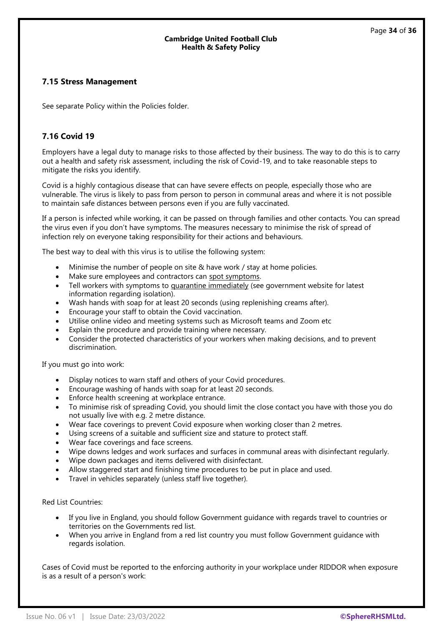#### **7.15 Stress Management**

See separate Policy within the Policies folder.

## **7.16 Covid 19**

Employers have a legal duty to manage risks to those affected by their business. The way to do this is to carry out a health and safety risk assessment, including the risk of Covid-19, and to take reasonable steps to mitigate the risks you identify.

Covid is a highly contagious disease that can have severe effects on people, especially those who are vulnerable. The virus is likely to pass from person to person in communal areas and where it is not possible to maintain safe distances between persons even if you are fully vaccinated.

If a person is infected while working, it can be passed on through families and other contacts. You can spread the virus even if you don't have symptoms. The measures necessary to minimise the risk of spread of infection rely on everyone taking responsibility for their actions and behaviours.

The best way to deal with this virus is to utilise the following system:

- Minimise the number of people on site & have work / stay at home policies.
- Make sure employees and contractors can [spot symptoms.](https://www.nhs.uk/conditions/coronavirus-covid-19/check-if-you-have-coronavirus-symptoms/)
- Tell workers with symptoms to [quarantine immediately](https://www.nhs.uk/conditions/coronavirus-covid-19/what-to-do-if-you-or-someone-you-live-with-has-coronavirus-symptoms/staying-at-home-if-you-or-someone-you-live-with-has-coronavirus-symptoms/) (see government website for latest information regarding isolation).
- Wash hands with soap for at least 20 seconds (using replenishing creams after).
- Encourage your staff to obtain the Covid vaccination.
- Utilise online video and meeting systems such as Microsoft teams and Zoom etc
- Explain the procedure and provide training where necessary.
- Consider the protected characteristics of your workers when making decisions, and to prevent discrimination.

If you must go into work:

- Display notices to warn staff and others of your Covid procedures.
- Encourage washing of hands with soap for at least 20 seconds.
- Enforce health screening at workplace entrance.
- To minimise risk of spreading Covid, you should limit the close contact you have with those you do not usually live with e.g. 2 metre distance.
- Wear face coverings to prevent Covid exposure when working closer than 2 metres.
- Using screens of a suitable and sufficient size and stature to protect staff.
- Wear face coverings and face screens.
- Wipe downs ledges and work surfaces and surfaces in communal areas with disinfectant regularly.
- Wipe down packages and items delivered with disinfectant.
- Allow staggered start and finishing time procedures to be put in place and used.
- Travel in vehicles separately (unless staff live together).

Red List Countries:

- If you live in England, you should follow Government guidance with regards travel to countries or territories on the Governments red list.
- When you arrive in England from a red list country you must follow Government guidance with regards isolation.

Cases of Covid must be reported to the enforcing authority in your workplace under RIDDOR when exposure is as a result of a person's work: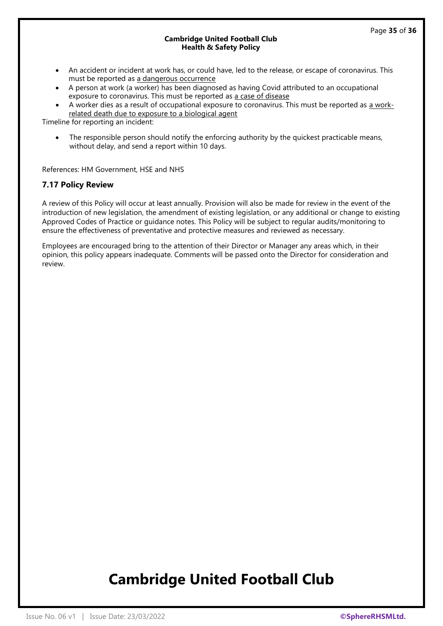- An accident or incident at work has, or could have, led to the release, or escape of coronavirus. This must be reported as [a dangerous occurrence](https://www.hse.gov.uk/coronavirus/riddor/index.htm#dangerous)
- A person at work (a worker) has been diagnosed as having Covid attributed to an occupational exposure to coronavirus. This must be reported as [a case of disease](https://www.hse.gov.uk/coronavirus/riddor/index.htm#disease)
- A worker dies as a result of occupational exposure to coronavirus. This must be reported as [a work](https://www.hse.gov.uk/coronavirus/riddor/index.htm#death)[related death due to exposure to a biological agent](https://www.hse.gov.uk/coronavirus/riddor/index.htm#death)

Timeline for reporting an incident:

The responsible person should notify the enforcing authority by the quickest practicable means, without delay, and send a report within 10 days.

References: HM Government, HSE and NHS

#### **7.17 Policy Review**

A review of this Policy will occur at least annually. Provision will also be made for review in the event of the introduction of new legislation, the amendment of existing legislation, or any additional or change to existing Approved Codes of Practice or guidance notes. This Policy will be subject to regular audits/monitoring to ensure the effectiveness of preventative and protective measures and reviewed as necessary.

Employees are encouraged bring to the attention of their Director or Manager any areas which, in their opinion, this policy appears inadequate. Comments will be passed onto the Director for consideration and review.

# **Cambridge United Football Club**